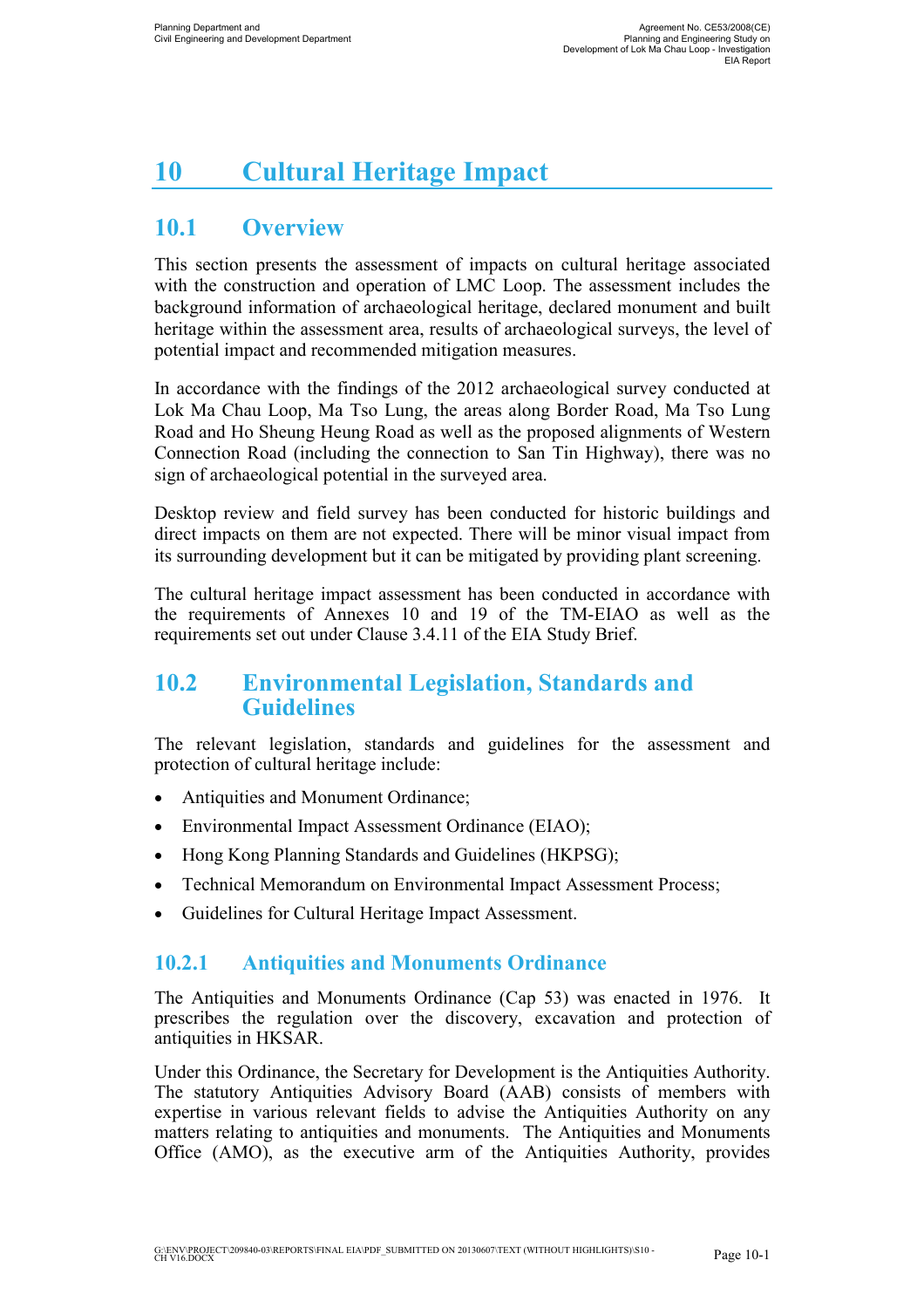# 10 Cultural Heritage Impact

## 10.1 Overview

This section presents the assessment of impacts on cultural heritage associated with the construction and operation of LMC Loop. The assessment includes the background information of archaeological heritage, declared monument and built heritage within the assessment area, results of archaeological surveys, the level of potential impact and recommended mitigation measures.

In accordance with the findings of the 2012 archaeological survey conducted at Lok Ma Chau Loop, Ma Tso Lung, the areas along Border Road, Ma Tso Lung Road and Ho Sheung Heung Road as well as the proposed alignments of Western Connection Road (including the connection to San Tin Highway), there was no sign of archaeological potential in the surveyed area.

Desktop review and field survey has been conducted for historic buildings and direct impacts on them are not expected. There will be minor visual impact from its surrounding development but it can be mitigated by providing plant screening.

The cultural heritage impact assessment has been conducted in accordance with the requirements of Annexes 10 and 19 of the TM-EIAO as well as the requirements set out under Clause 3.4.11 of the EIA Study Brief.

### 10.2 Environmental Legislation, Standards and Guidelines

The relevant legislation, standards and guidelines for the assessment and protection of cultural heritage include:

- Antiquities and Monument Ordinance;
- Environmental Impact Assessment Ordinance (EIAO);
- Hong Kong Planning Standards and Guidelines (HKPSG);
- Technical Memorandum on Environmental Impact Assessment Process;
- Guidelines for Cultural Heritage Impact Assessment.

### 10.2.1 Antiquities and Monuments Ordinance

The Antiquities and Monuments Ordinance (Cap 53) was enacted in 1976. It prescribes the regulation over the discovery, excavation and protection of antiquities in HKSAR.

Under this Ordinance, the Secretary for Development is the Antiquities Authority. The statutory Antiquities Advisory Board (AAB) consists of members with expertise in various relevant fields to advise the Antiquities Authority on any matters relating to antiquities and monuments. The Antiquities and Monuments Office (AMO), as the executive arm of the Antiquities Authority, provides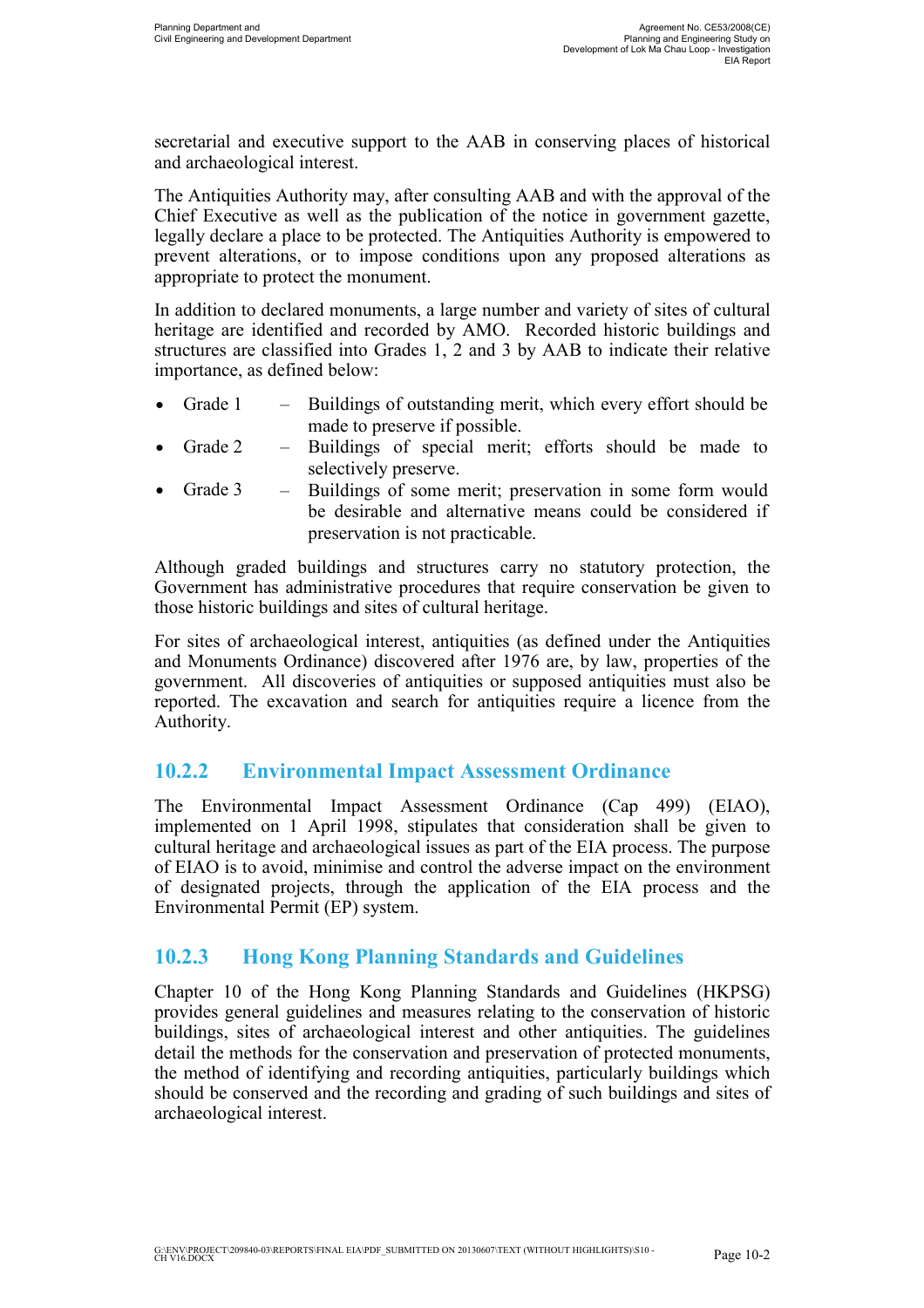secretarial and executive support to the AAB in conserving places of historical and archaeological interest.

The Antiquities Authority may, after consulting AAB and with the approval of the Chief Executive as well as the publication of the notice in government gazette, legally declare a place to be protected. The Antiquities Authority is empowered to prevent alterations, or to impose conditions upon any proposed alterations as appropriate to protect the monument.

In addition to declared monuments, a large number and variety of sites of cultural heritage are identified and recorded by AMO. Recorded historic buildings and structures are classified into Grades 1, 2 and 3 by AAB to indicate their relative importance, as defined below:

- Grade 1 Buildings of outstanding merit, which every effort should be made to preserve if possible.
- Grade 2 Buildings of special merit; efforts should be made to selectively preserve.
- Grade 3 Buildings of some merit; preservation in some form would be desirable and alternative means could be considered if preservation is not practicable.

Although graded buildings and structures carry no statutory protection, the Government has administrative procedures that require conservation be given to those historic buildings and sites of cultural heritage.

For sites of archaeological interest, antiquities (as defined under the Antiquities and Monuments Ordinance) discovered after 1976 are, by law, properties of the government. All discoveries of antiquities or supposed antiquities must also be reported. The excavation and search for antiquities require a licence from the Authority.

### 10.2.2 Environmental Impact Assessment Ordinance

The Environmental Impact Assessment Ordinance (Cap 499) (EIAO), implemented on 1 April 1998, stipulates that consideration shall be given to cultural heritage and archaeological issues as part of the EIA process. The purpose of EIAO is to avoid, minimise and control the adverse impact on the environment of designated projects, through the application of the EIA process and the Environmental Permit (EP) system.

#### 10.2.3 Hong Kong Planning Standards and Guidelines

Chapter 10 of the Hong Kong Planning Standards and Guidelines (HKPSG) provides general guidelines and measures relating to the conservation of historic buildings, sites of archaeological interest and other antiquities. The guidelines detail the methods for the conservation and preservation of protected monuments, the method of identifying and recording antiquities, particularly buildings which should be conserved and the recording and grading of such buildings and sites of archaeological interest.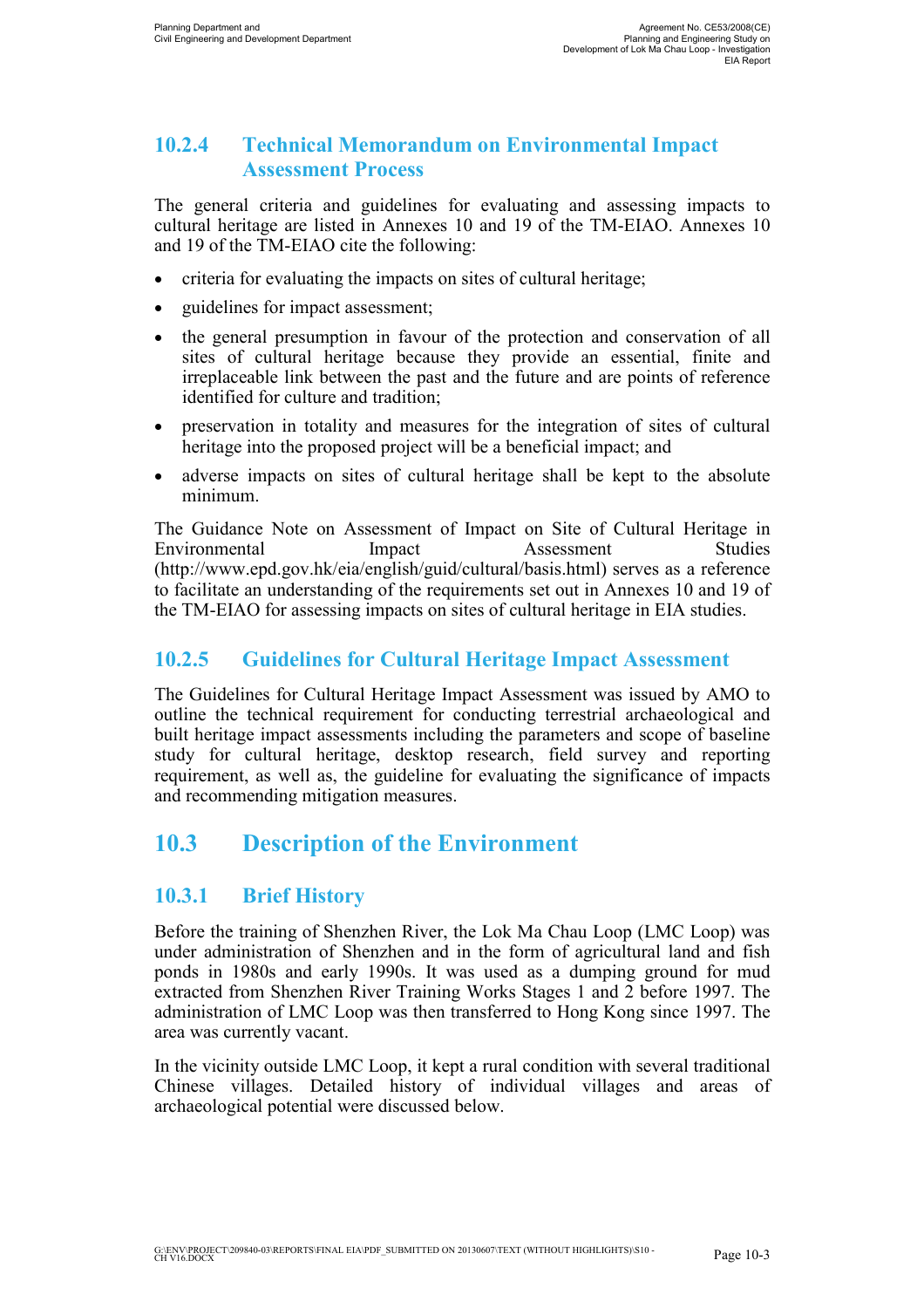### 10.2.4 Technical Memorandum on Environmental Impact Assessment Process

The general criteria and guidelines for evaluating and assessing impacts to cultural heritage are listed in Annexes 10 and 19 of the TM-EIAO. Annexes 10 and 19 of the TM-EIAO cite the following:

- criteria for evaluating the impacts on sites of cultural heritage;
- guidelines for impact assessment;
- the general presumption in favour of the protection and conservation of all sites of cultural heritage because they provide an essential, finite and irreplaceable link between the past and the future and are points of reference identified for culture and tradition;
- preservation in totality and measures for the integration of sites of cultural heritage into the proposed project will be a beneficial impact; and
- adverse impacts on sites of cultural heritage shall be kept to the absolute minimum.

The Guidance Note on Assessment of Impact on Site of Cultural Heritage in Environmental Impact Assessment Studies (http://www.epd.gov.hk/eia/english/guid/cultural/basis.html) serves as a reference to facilitate an understanding of the requirements set out in Annexes 10 and 19 of the TM-EIAO for assessing impacts on sites of cultural heritage in EIA studies.

#### 10.2.5 Guidelines for Cultural Heritage Impact Assessment

The Guidelines for Cultural Heritage Impact Assessment was issued by AMO to outline the technical requirement for conducting terrestrial archaeological and built heritage impact assessments including the parameters and scope of baseline study for cultural heritage, desktop research, field survey and reporting requirement, as well as, the guideline for evaluating the significance of impacts and recommending mitigation measures.

## 10.3 Description of the Environment

### 10.3.1 Brief History

Before the training of Shenzhen River, the Lok Ma Chau Loop (LMC Loop) was under administration of Shenzhen and in the form of agricultural land and fish ponds in 1980s and early 1990s. It was used as a dumping ground for mud extracted from Shenzhen River Training Works Stages 1 and 2 before 1997. The administration of LMC Loop was then transferred to Hong Kong since 1997. The area was currently vacant.

In the vicinity outside LMC Loop, it kept a rural condition with several traditional Chinese villages. Detailed history of individual villages and areas of archaeological potential were discussed below.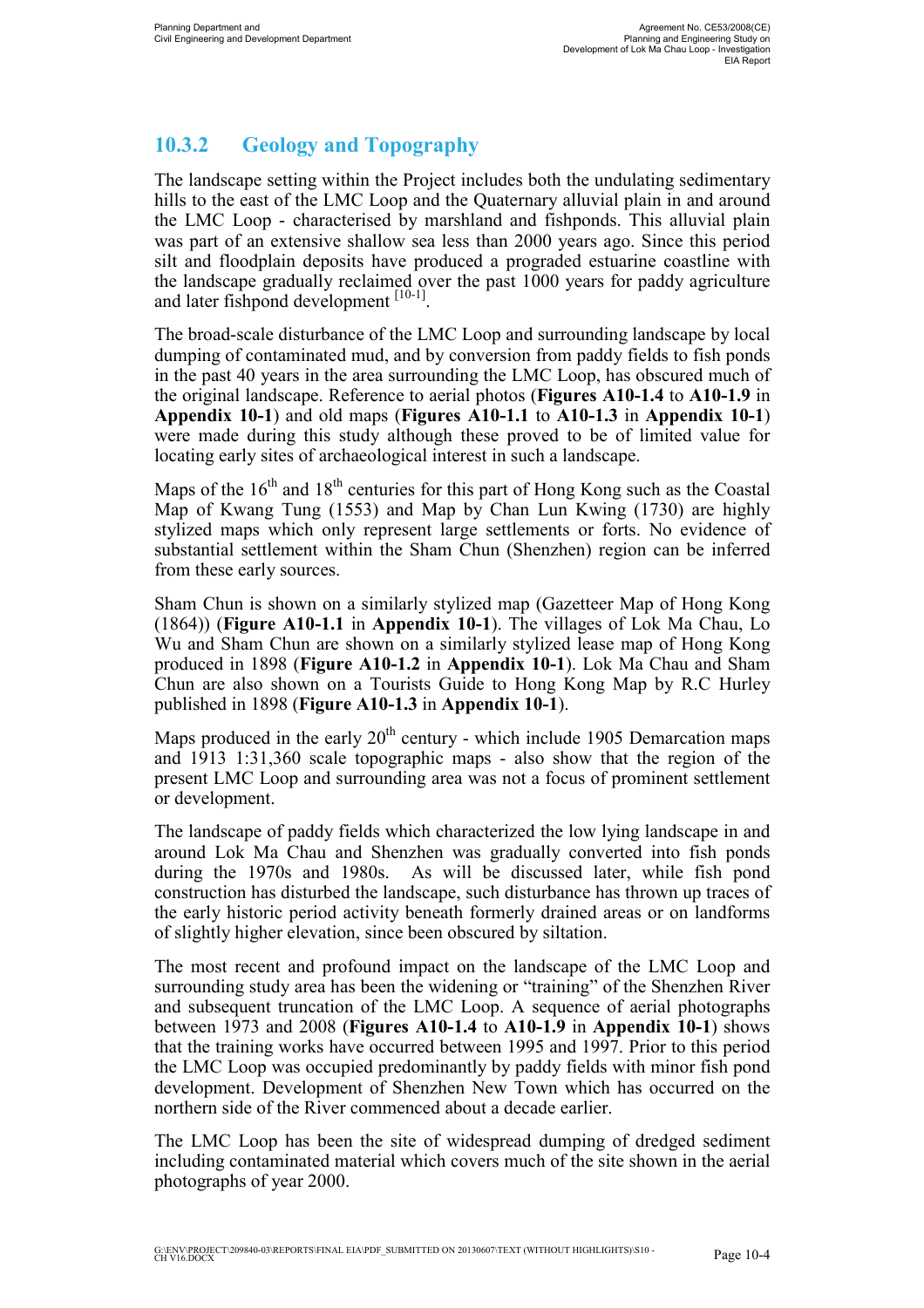### 10.3.2 Geology and Topography

The landscape setting within the Project includes both the undulating sedimentary hills to the east of the LMC Loop and the Quaternary alluvial plain in and around the LMC Loop - characterised by marshland and fishponds. This alluvial plain was part of an extensive shallow sea less than 2000 years ago. Since this period silt and floodplain deposits have produced a prograded estuarine coastline with the landscape gradually reclaimed over the past 1000 years for paddy agriculture and later fishpond development [10-1].

The broad-scale disturbance of the LMC Loop and surrounding landscape by local dumping of contaminated mud, and by conversion from paddy fields to fish ponds in the past 40 years in the area surrounding the LMC Loop, has obscured much of the original landscape. Reference to aerial photos (Figures A10-1.4 to A10-1.9 in Appendix 10-1) and old maps (Figures A10-1.1 to A10-1.3 in Appendix 10-1) were made during this study although these proved to be of limited value for locating early sites of archaeological interest in such a landscape.

Maps of the  $16<sup>th</sup>$  and  $18<sup>th</sup>$  centuries for this part of Hong Kong such as the Coastal Map of Kwang Tung (1553) and Map by Chan Lun Kwing (1730) are highly stylized maps which only represent large settlements or forts. No evidence of substantial settlement within the Sham Chun (Shenzhen) region can be inferred from these early sources.

Sham Chun is shown on a similarly stylized map (Gazetteer Map of Hong Kong (1864)) (Figure A10-1.1 in Appendix 10-1). The villages of Lok Ma Chau, Lo Wu and Sham Chun are shown on a similarly stylized lease map of Hong Kong produced in 1898 (Figure A10-1.2 in Appendix 10-1). Lok Ma Chau and Sham Chun are also shown on a Tourists Guide to Hong Kong Map by R.C Hurley published in 1898 (Figure A10-1.3 in Appendix 10-1).

Maps produced in the early  $20<sup>th</sup>$  century - which include 1905 Demarcation maps and 1913 1:31,360 scale topographic maps - also show that the region of the present LMC Loop and surrounding area was not a focus of prominent settlement or development.

The landscape of paddy fields which characterized the low lying landscape in and around Lok Ma Chau and Shenzhen was gradually converted into fish ponds during the 1970s and 1980s. As will be discussed later, while fish pond construction has disturbed the landscape, such disturbance has thrown up traces of the early historic period activity beneath formerly drained areas or on landforms of slightly higher elevation, since been obscured by siltation.

The most recent and profound impact on the landscape of the LMC Loop and surrounding study area has been the widening or "training" of the Shenzhen River and subsequent truncation of the LMC Loop. A sequence of aerial photographs between 1973 and 2008 (Figures A10-1.4 to A10-1.9 in Appendix 10-1) shows that the training works have occurred between 1995 and 1997. Prior to this period the LMC Loop was occupied predominantly by paddy fields with minor fish pond development. Development of Shenzhen New Town which has occurred on the northern side of the River commenced about a decade earlier.

The LMC Loop has been the site of widespread dumping of dredged sediment including contaminated material which covers much of the site shown in the aerial photographs of year 2000.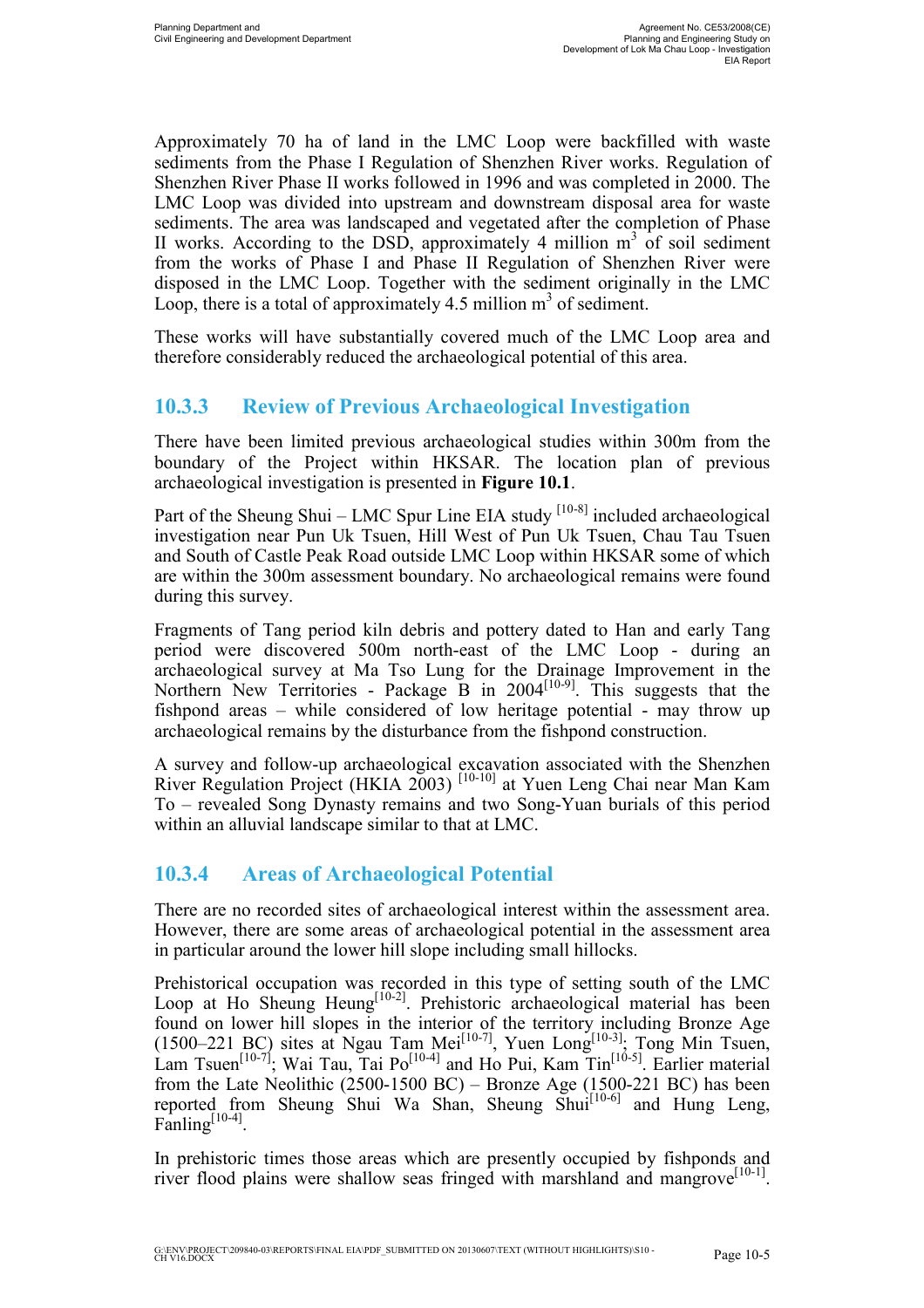Approximately 70 ha of land in the LMC Loop were backfilled with waste sediments from the Phase I Regulation of Shenzhen River works. Regulation of Shenzhen River Phase II works followed in 1996 and was completed in 2000. The LMC Loop was divided into upstream and downstream disposal area for waste sediments. The area was landscaped and vegetated after the completion of Phase II works. According to the DSD, approximately 4 million  $m^3$  of soil sediment from the works of Phase I and Phase II Regulation of Shenzhen River were disposed in the LMC Loop. Together with the sediment originally in the LMC Loop, there is a total of approximately 4.5 million  $m<sup>3</sup>$  of sediment.

These works will have substantially covered much of the LMC Loop area and therefore considerably reduced the archaeological potential of this area.

### 10.3.3 Review of Previous Archaeological Investigation

There have been limited previous archaeological studies within 300m from the boundary of the Project within HKSAR. The location plan of previous archaeological investigation is presented in Figure 10.1.

Part of the Sheung Shui – LMC Spur Line EIA study  $[10-8]$  included archaeological investigation near Pun Uk Tsuen, Hill West of Pun Uk Tsuen, Chau Tau Tsuen and South of Castle Peak Road outside LMC Loop within HKSAR some of which are within the 300m assessment boundary. No archaeological remains were found during this survey.

Fragments of Tang period kiln debris and pottery dated to Han and early Tang period were discovered 500m north-east of the LMC Loop - during an archaeological survey at Ma Tso Lung for the Drainage Improvement in the Northern New Territories - Package  $\overline{B}$  in 2004<sup>[10-9]</sup>. This suggests that the fishpond areas – while considered of low heritage potential - may throw up archaeological remains by the disturbance from the fishpond construction.

A survey and follow-up archaeological excavation associated with the Shenzhen River Regulation Project (HKIA 2003)<sup>[10-10]</sup> at Yuen Leng Chai near Man Kam To – revealed Song Dynasty remains and two Song-Yuan burials of this period within an alluvial landscape similar to that at LMC.

### 10.3.4 Areas of Archaeological Potential

There are no recorded sites of archaeological interest within the assessment area. However, there are some areas of archaeological potential in the assessment area in particular around the lower hill slope including small hillocks.

Prehistorical occupation was recorded in this type of setting south of the LMC Loop at Ho Sheung Heung<sup>[10-2]</sup>. Prehistoric archaeological material has been found on lower hill slopes in the interior of the territory including Bronze Age (1500–221 BC) sites at Ngau Tam Mei<sup>[10-7]</sup>, Yuen Long<sup>[10-3]</sup>; Tong Min Tsuen, Lam Tsuen<sup>[10-7]</sup>; Wai Tau, Tai Po<sup>[10-4]</sup> and Ho Pui, Kam Tin<sup>[10-5]</sup>. Earlier material from the Late Neolithic  $(2500-1500 \text{ BC})$  – Bronze Age  $(1500-221 \text{ BC})$  has been reported from Sheung Shui Wa Shan, Sheung Shui $[10-6]$  and Hung Leng,  $F_{\text{anling}}^{[10-4]}$ .

In prehistoric times those areas which are presently occupied by fishponds and river flood plains were shallow seas fringed with marshland and mangrove<sup>[10-1]</sup>.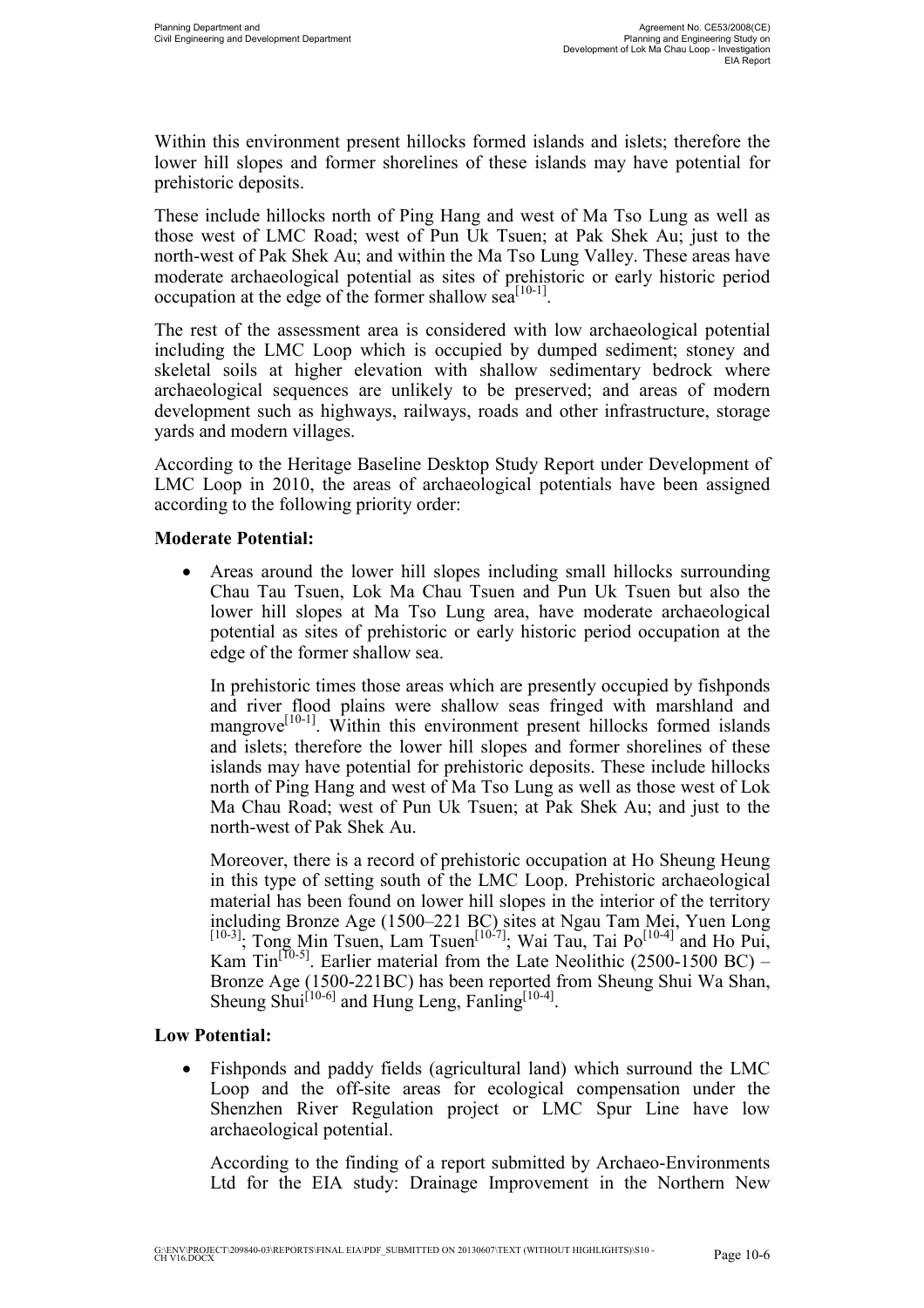Within this environment present hillocks formed islands and islets; therefore the lower hill slopes and former shorelines of these islands may have potential for prehistoric deposits.

These include hillocks north of Ping Hang and west of Ma Tso Lung as well as those west of LMC Road; west of Pun Uk Tsuen; at Pak Shek Au; just to the north-west of Pak Shek Au; and within the Ma Tso Lung Valley. These areas have moderate archaeological potential as sites of prehistoric or early historic period occupation at the edge of the former shallow  $sea^{[10-1]}$ .

The rest of the assessment area is considered with low archaeological potential including the LMC Loop which is occupied by dumped sediment; stoney and skeletal soils at higher elevation with shallow sedimentary bedrock where archaeological sequences are unlikely to be preserved; and areas of modern development such as highways, railways, roads and other infrastructure, storage yards and modern villages.

According to the Heritage Baseline Desktop Study Report under Development of LMC Loop in 2010, the areas of archaeological potentials have been assigned according to the following priority order:

#### Moderate Potential:

• Areas around the lower hill slopes including small hillocks surrounding Chau Tau Tsuen, Lok Ma Chau Tsuen and Pun Uk Tsuen but also the lower hill slopes at Ma Tso Lung area, have moderate archaeological potential as sites of prehistoric or early historic period occupation at the edge of the former shallow sea.

In prehistoric times those areas which are presently occupied by fishponds and river flood plains were shallow seas fringed with marshland and mangrove $[10-1]$ . Within this environment present hillocks formed islands and islets; therefore the lower hill slopes and former shorelines of these islands may have potential for prehistoric deposits. These include hillocks north of Ping Hang and west of Ma Tso Lung as well as those west of Lok Ma Chau Road; west of Pun Uk Tsuen; at Pak Shek Au; and just to the north-west of Pak Shek Au.

Moreover, there is a record of prehistoric occupation at Ho Sheung Heung in this type of setting south of the LMC Loop. Prehistoric archaeological material has been found on lower hill slopes in the interior of the territory including Bronze Age (1500–221 BC) sites at Ngau Tam Mei, Yuen Long <sup>[10-3]</sup>; Tong Min Tsuen, Lam Tsuen<sup>[10-7]</sup>; Wai Tau, Tai Po<sup>[10-4]</sup> and Ho Pui, Kam Tin<sup>[10-5]</sup>. Earlier material from the Late Neolithic (2500-1500 BC) – Bronze Age (1500-221BC) has been reported from Sheung Shui Wa Shan, Sheung Shui<sup>[10-6]</sup> and Hung Leng, Fanling<sup>[10-4]</sup>.

#### Low Potential:

• Fishponds and paddy fields (agricultural land) which surround the LMC Loop and the off-site areas for ecological compensation under the Shenzhen River Regulation project or LMC Spur Line have low archaeological potential.

According to the finding of a report submitted by Archaeo-Environments Ltd for the EIA study: Drainage Improvement in the Northern New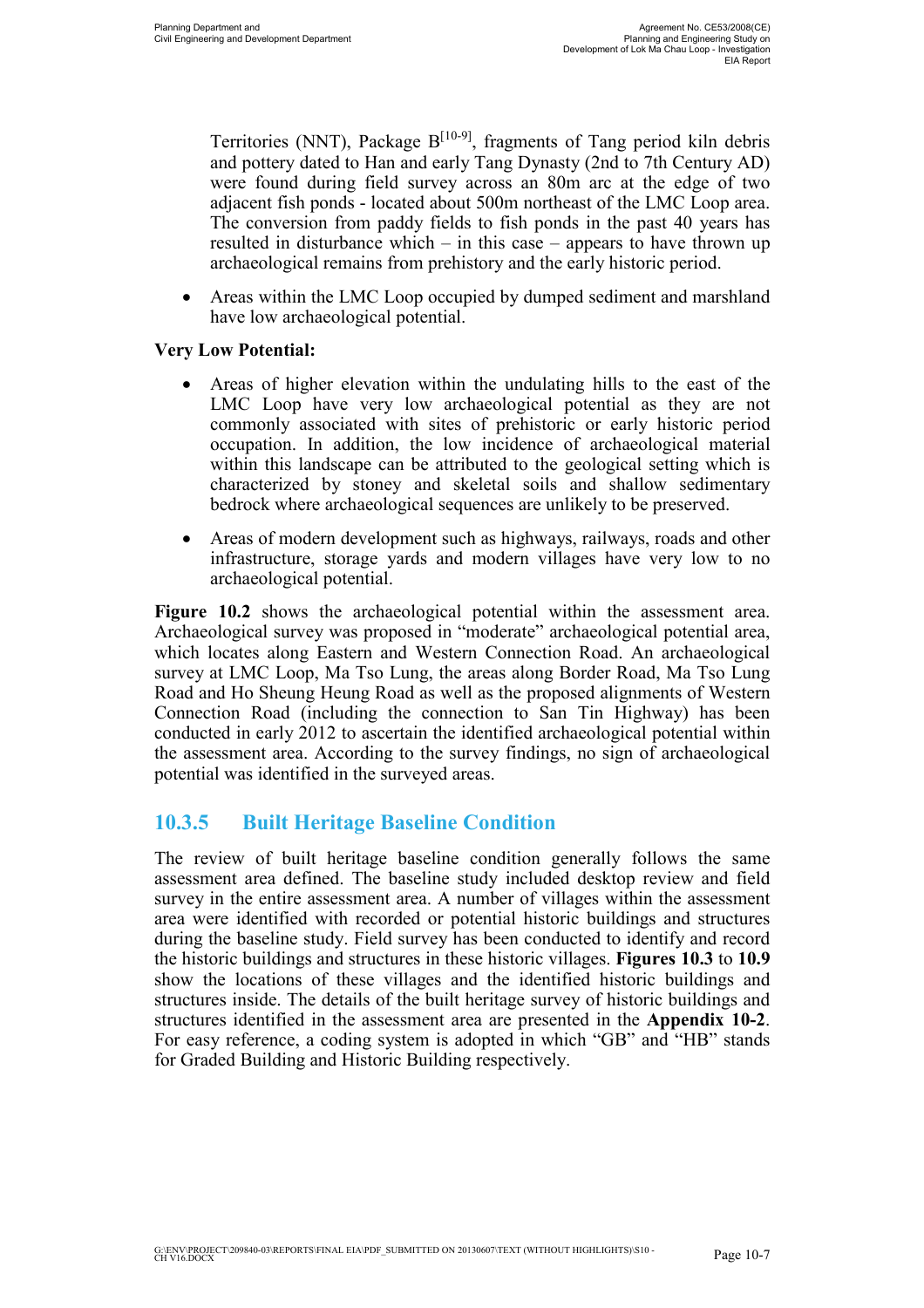Territories (NNT), Package  $B^{[10-9]}$ , fragments of Tang period kiln debris and pottery dated to Han and early Tang Dynasty (2nd to 7th Century AD) were found during field survey across an 80m arc at the edge of two adjacent fish ponds - located about 500m northeast of the LMC Loop area. The conversion from paddy fields to fish ponds in the past 40 years has resulted in disturbance which – in this case – appears to have thrown up archaeological remains from prehistory and the early historic period.

Areas within the LMC Loop occupied by dumped sediment and marshland have low archaeological potential.

#### Very Low Potential:

- Areas of higher elevation within the undulating hills to the east of the LMC Loop have very low archaeological potential as they are not commonly associated with sites of prehistoric or early historic period occupation. In addition, the low incidence of archaeological material within this landscape can be attributed to the geological setting which is characterized by stoney and skeletal soils and shallow sedimentary bedrock where archaeological sequences are unlikely to be preserved.
- Areas of modern development such as highways, railways, roads and other infrastructure, storage yards and modern villages have very low to no archaeological potential.

Figure 10.2 shows the archaeological potential within the assessment area. Archaeological survey was proposed in "moderate" archaeological potential area, which locates along Eastern and Western Connection Road. An archaeological survey at LMC Loop, Ma Tso Lung, the areas along Border Road, Ma Tso Lung Road and Ho Sheung Heung Road as well as the proposed alignments of Western Connection Road (including the connection to San Tin Highway) has been conducted in early 2012 to ascertain the identified archaeological potential within the assessment area. According to the survey findings, no sign of archaeological potential was identified in the surveyed areas.

### 10.3.5 Built Heritage Baseline Condition

The review of built heritage baseline condition generally follows the same assessment area defined. The baseline study included desktop review and field survey in the entire assessment area. A number of villages within the assessment area were identified with recorded or potential historic buildings and structures during the baseline study. Field survey has been conducted to identify and record the historic buildings and structures in these historic villages. Figures 10.3 to 10.9 show the locations of these villages and the identified historic buildings and structures inside. The details of the built heritage survey of historic buildings and structures identified in the assessment area are presented in the Appendix 10-2. For easy reference, a coding system is adopted in which "GB" and "HB" stands for Graded Building and Historic Building respectively.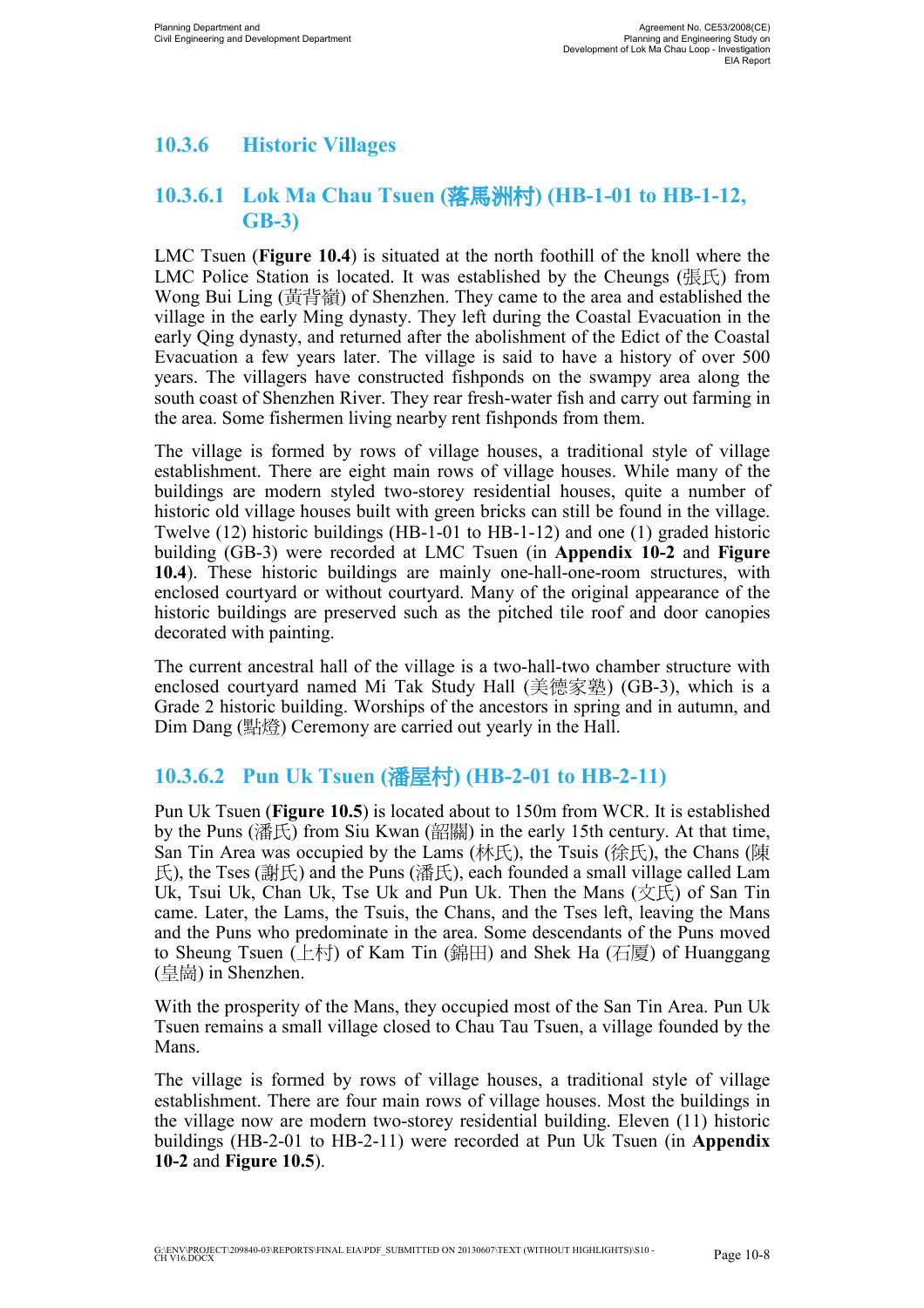### 10.3.6 Historic Villages

### 10.3.6.1 Lok Ma Chau Tsuen (落馬洲村) (HB-1-01 to HB-1-12, GB-3)

LMC Tsuen (Figure 10.4) is situated at the north foothill of the knoll where the LMC Police Station is located. It was established by the Cheungs (張氏) from Wong Bui Ling (黃背嶺) of Shenzhen. They came to the area and established the village in the early Ming dynasty. They left during the Coastal Evacuation in the early Qing dynasty, and returned after the abolishment of the Edict of the Coastal Evacuation a few years later. The village is said to have a history of over 500 years. The villagers have constructed fishponds on the swampy area along the south coast of Shenzhen River. They rear fresh-water fish and carry out farming in the area. Some fishermen living nearby rent fishponds from them.

The village is formed by rows of village houses, a traditional style of village establishment. There are eight main rows of village houses. While many of the buildings are modern styled two-storey residential houses, quite a number of historic old village houses built with green bricks can still be found in the village. Twelve (12) historic buildings (HB-1-01 to HB-1-12) and one (1) graded historic building (GB-3) were recorded at LMC Tsuen (in Appendix 10-2 and Figure 10.4). These historic buildings are mainly one-hall-one-room structures, with enclosed courtyard or without courtyard. Many of the original appearance of the historic buildings are preserved such as the pitched tile roof and door canopies decorated with painting.

The current ancestral hall of the village is a two-hall-two chamber structure with enclosed courtyard named Mi Tak Study Hall (美德家塾) (GB-3), which is a Grade 2 historic building. Worships of the ancestors in spring and in autumn, and Dim Dang (點燈) Ceremony are carried out yearly in the Hall.

### 10.3.6.2 Pun Uk Tsuen (潘屋村) (HB-2-01 to HB-2-11)

Pun Uk Tsuen (Figure 10.5) is located about to 150m from WCR. It is established by the Puns (潘氏) from Siu Kwan (韶關) in the early 15th century. At that time, San Tin Area was occupied by the Lams (林氏), the Tsuis (徐氏), the Chans (陳 氏), the Tses (謝氏) and the Puns (潘氏), each founded a small village called Lam Uk, Tsui Uk, Chan Uk, Tse Uk and Pun Uk. Then the Mans  $(\nabla \mathfrak{F})$  of San Tin came. Later, the Lams, the Tsuis, the Chans, and the Tses left, leaving the Mans and the Puns who predominate in the area. Some descendants of the Puns moved to Sheung Tsuen (上村) of Kam Tin (錦田) and Shek Ha (石厦) of Huanggang (皇崗) in Shenzhen.

With the prosperity of the Mans, they occupied most of the San Tin Area. Pun Uk Tsuen remains a small village closed to Chau Tau Tsuen, a village founded by the Mans.

The village is formed by rows of village houses, a traditional style of village establishment. There are four main rows of village houses. Most the buildings in the village now are modern two-storey residential building. Eleven (11) historic buildings (HB-2-01 to HB-2-11) were recorded at Pun Uk Tsuen (in Appendix 10-2 and Figure 10.5).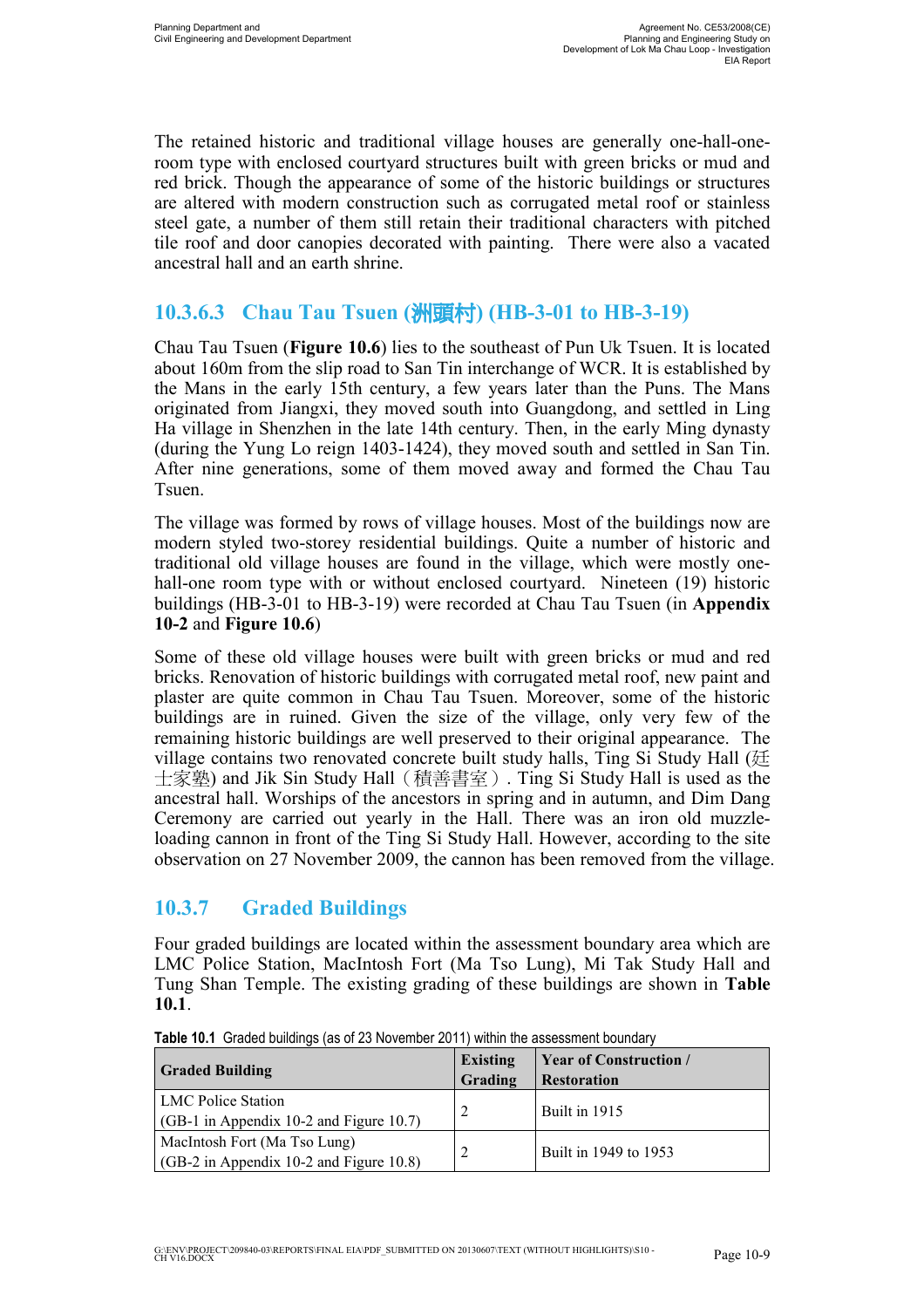The retained historic and traditional village houses are generally one-hall-oneroom type with enclosed courtyard structures built with green bricks or mud and red brick. Though the appearance of some of the historic buildings or structures are altered with modern construction such as corrugated metal roof or stainless steel gate, a number of them still retain their traditional characters with pitched tile roof and door canopies decorated with painting. There were also a vacated ancestral hall and an earth shrine.

### 10.3.6.3 Chau Tau Tsuen (洲頭村) (HB-3-01 to HB-3-19)

Chau Tau Tsuen (Figure 10.6) lies to the southeast of Pun Uk Tsuen. It is located about 160m from the slip road to San Tin interchange of WCR. It is established by the Mans in the early 15th century, a few years later than the Puns. The Mans originated from Jiangxi, they moved south into Guangdong, and settled in Ling Ha village in Shenzhen in the late 14th century. Then, in the early Ming dynasty (during the Yung Lo reign 1403-1424), they moved south and settled in San Tin. After nine generations, some of them moved away and formed the Chau Tau Tsuen.

The village was formed by rows of village houses. Most of the buildings now are modern styled two-storey residential buildings. Quite a number of historic and traditional old village houses are found in the village, which were mostly onehall-one room type with or without enclosed courtyard. Nineteen (19) historic buildings (HB-3-01 to HB-3-19) were recorded at Chau Tau Tsuen (in Appendix 10-2 and Figure 10.6)

Some of these old village houses were built with green bricks or mud and red bricks. Renovation of historic buildings with corrugated metal roof, new paint and plaster are quite common in Chau Tau Tsuen. Moreover, some of the historic buildings are in ruined. Given the size of the village, only very few of the remaining historic buildings are well preserved to their original appearance. The village contains two renovated concrete built study halls. Ting Si Study Hall  $(\#$ 士家塾) and Jik Sin Study Hall(積善書室). Ting Si Study Hall is used as the ancestral hall. Worships of the ancestors in spring and in autumn, and Dim Dang Ceremony are carried out yearly in the Hall. There was an iron old muzzleloading cannon in front of the Ting Si Study Hall. However, according to the site observation on 27 November 2009, the cannon has been removed from the village.

#### 10.3.7 Graded Buildings

Four graded buildings are located within the assessment boundary area which are LMC Police Station, MacIntosh Fort (Ma Tso Lung), Mi Tak Study Hall and Tung Shan Temple. The existing grading of these buildings are shown in Table 10.1.

|                                                                            | <b>Existing</b> | <b>Year of Construction /</b> |
|----------------------------------------------------------------------------|-----------------|-------------------------------|
| <b>Graded Building</b>                                                     | Grading         | <b>Restoration</b>            |
| <b>LMC Police Station</b><br>(GB-1 in Appendix 10-2 and Figure 10.7)       |                 | Built in 1915                 |
| MacIntosh Fort (Ma Tso Lung)<br>$(GB-2)$ in Appendix 10-2 and Figure 10.8) |                 | Built in 1949 to 1953         |

Table 10.1 Graded buildings (as of 23 November 2011) within the assessment boundary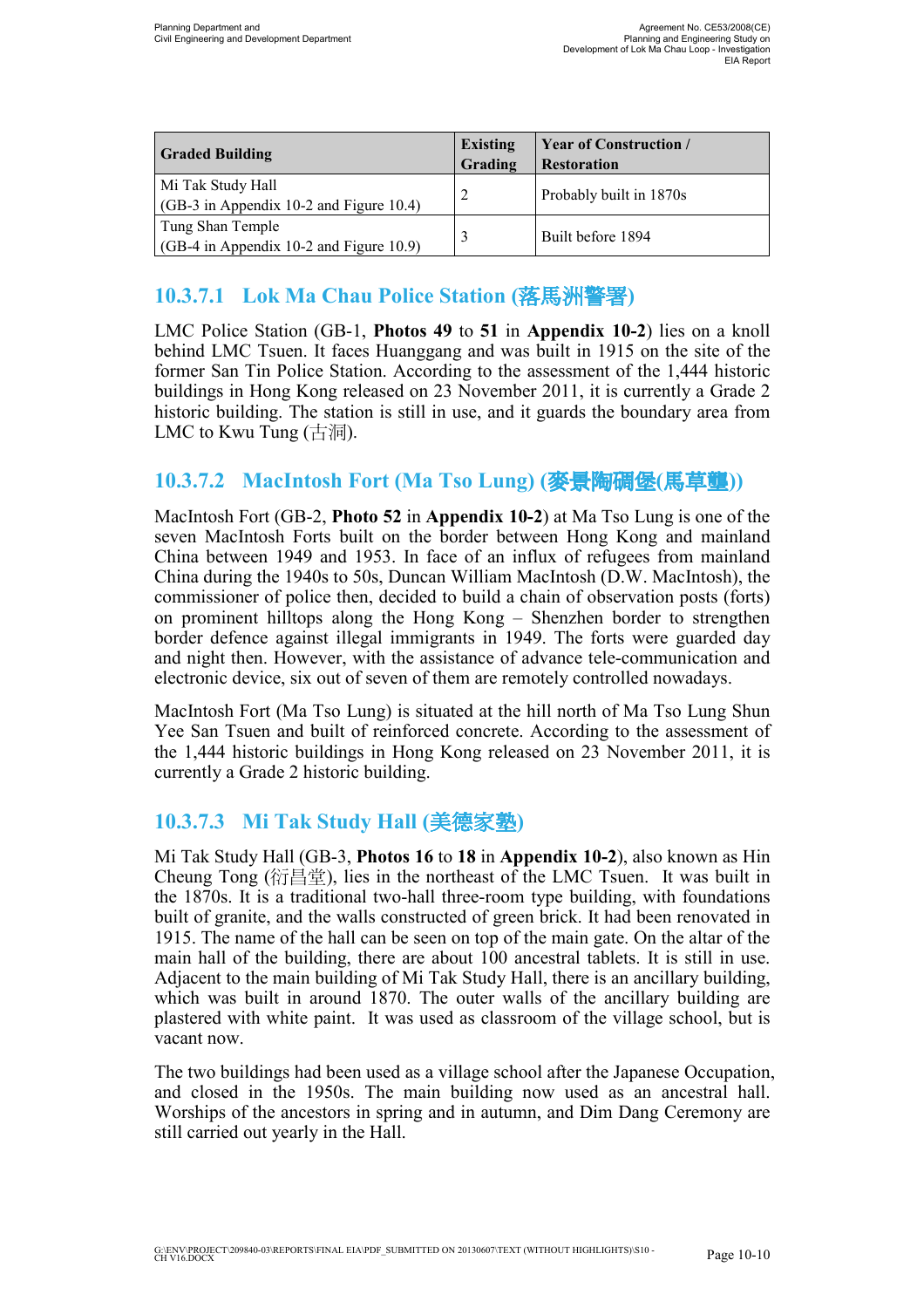| <b>Graded Building</b>                                          | <b>Existing</b><br>Grading | <b>Year of Construction</b> /<br><b>Restoration</b> |
|-----------------------------------------------------------------|----------------------------|-----------------------------------------------------|
| Mi Tak Study Hall<br>$(GB-3)$ in Appendix 10-2 and Figure 10.4) |                            | Probably built in 1870s                             |
| Tung Shan Temple<br>(GB-4 in Appendix 10-2 and Figure 10.9)     |                            | Built before 1894                                   |

## 10.3.7.1 Lok Ma Chau Police Station (落馬洲警署)

LMC Police Station (GB-1, Photos 49 to 51 in Appendix 10-2) lies on a knoll behind LMC Tsuen. It faces Huanggang and was built in 1915 on the site of the former San Tin Police Station. According to the assessment of the 1,444 historic buildings in Hong Kong released on 23 November 2011, it is currently a Grade 2 historic building. The station is still in use, and it guards the boundary area from LMC to Kwu Tung (古洞).

### 10.3.7.2 MacIntosh Fort (Ma Tso Lung) (麥景陶碉堡(馬草壟))

MacIntosh Fort (GB-2, **Photo 52** in **Appendix 10-2**) at Ma Tso Lung is one of the seven MacIntosh Forts built on the border between Hong Kong and mainland China between 1949 and 1953. In face of an influx of refugees from mainland China during the 1940s to 50s, Duncan William MacIntosh (D.W. MacIntosh), the commissioner of police then, decided to build a chain of observation posts (forts) on prominent hilltops along the Hong Kong – Shenzhen border to strengthen border defence against illegal immigrants in 1949. The forts were guarded day and night then. However, with the assistance of advance tele-communication and electronic device, six out of seven of them are remotely controlled nowadays.

MacIntosh Fort (Ma Tso Lung) is situated at the hill north of Ma Tso Lung Shun Yee San Tsuen and built of reinforced concrete. According to the assessment of the 1,444 historic buildings in Hong Kong released on 23 November 2011, it is currently a Grade 2 historic building.

### 10.3.7.3 Mi Tak Study Hall (美德家塾)

Mi Tak Study Hall (GB-3, Photos 16 to 18 in Appendix 10-2), also known as Hin Cheung Tong (衍昌堂), lies in the northeast of the LMC Tsuen. It was built in the 1870s. It is a traditional two-hall three-room type building, with foundations built of granite, and the walls constructed of green brick. It had been renovated in 1915. The name of the hall can be seen on top of the main gate. On the altar of the main hall of the building, there are about 100 ancestral tablets. It is still in use. Adjacent to the main building of Mi Tak Study Hall, there is an ancillary building, which was built in around 1870. The outer walls of the ancillary building are plastered with white paint. It was used as classroom of the village school, but is vacant now.

The two buildings had been used as a village school after the Japanese Occupation, and closed in the 1950s. The main building now used as an ancestral hall. Worships of the ancestors in spring and in autumn, and Dim Dang Ceremony are still carried out yearly in the Hall.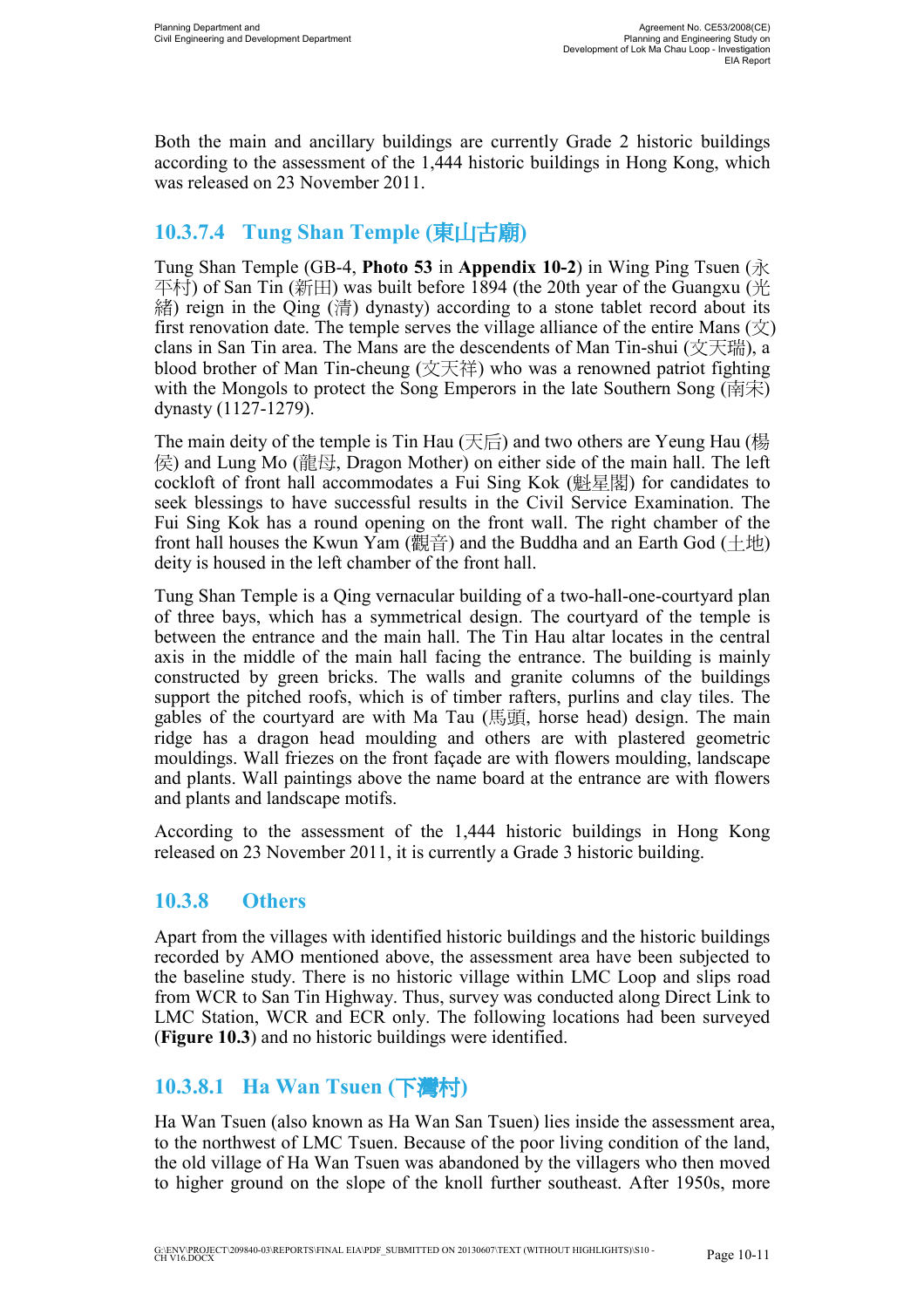Both the main and ancillary buildings are currently Grade 2 historic buildings according to the assessment of the 1,444 historic buildings in Hong Kong, which was released on 23 November 2011.

## 10.3.7.4 Tung Shan Temple (東山古廟)

Tung Shan Temple (GB-4, **Photo 53** in **Appendix 10-2**) in Wing Ping Tsuen ( $\hat{\mathcal{R}}$ ) 平村) of San Tin (新田) was built before 1894 (the 20th year of the Guangxu (光 緒) reign in the Qing (清) dynasty) according to a stone tablet record about its first renovation date. The temple serves the village alliance of the entire Mans  $(\dot{\chi})$ clans in San Tin area. The Mans are the descendents of Man Tin-shui (文天瑞), a blood brother of Man Tin-cheung (文天祥) who was a renowned patriot fighting with the Mongols to protect the Song Emperors in the late Southern Song (南宋) dynasty (1127-1279).

The main deity of the temple is Tin Hau (天后) and two others are Yeung Hau (楊 侯) and Lung Mo (龍母, Dragon Mother) on either side of the main hall. The left cockloft of front hall accommodates a Fui Sing Kok (魁星閣) for candidates to seek blessings to have successful results in the Civil Service Examination. The Fui Sing Kok has a round opening on the front wall. The right chamber of the front hall houses the Kwun Yam (觀音) and the Buddha and an Earth God (十地) deity is housed in the left chamber of the front hall.

Tung Shan Temple is a Qing vernacular building of a two-hall-one-courtyard plan of three bays, which has a symmetrical design. The courtyard of the temple is between the entrance and the main hall. The Tin Hau altar locates in the central axis in the middle of the main hall facing the entrance. The building is mainly constructed by green bricks. The walls and granite columns of the buildings support the pitched roofs, which is of timber rafters, purlins and clay tiles. The gables of the courtyard are with Ma Tau (馬頭, horse head) design. The main ridge has a dragon head moulding and others are with plastered geometric mouldings. Wall friezes on the front façade are with flowers moulding, landscape and plants. Wall paintings above the name board at the entrance are with flowers and plants and landscape motifs.

According to the assessment of the 1,444 historic buildings in Hong Kong released on 23 November 2011, it is currently a Grade 3 historic building.

### 10.3.8 Others

Apart from the villages with identified historic buildings and the historic buildings recorded by AMO mentioned above, the assessment area have been subjected to the baseline study. There is no historic village within LMC Loop and slips road from WCR to San Tin Highway. Thus, survey was conducted along Direct Link to LMC Station, WCR and ECR only. The following locations had been surveyed (Figure 10.3) and no historic buildings were identified.

### 10.3.8.1 Ha Wan Tsuen (下灣村)

Ha Wan Tsuen (also known as Ha Wan San Tsuen) lies inside the assessment area, to the northwest of LMC Tsuen. Because of the poor living condition of the land, the old village of Ha Wan Tsuen was abandoned by the villagers who then moved to higher ground on the slope of the knoll further southeast. After 1950s, more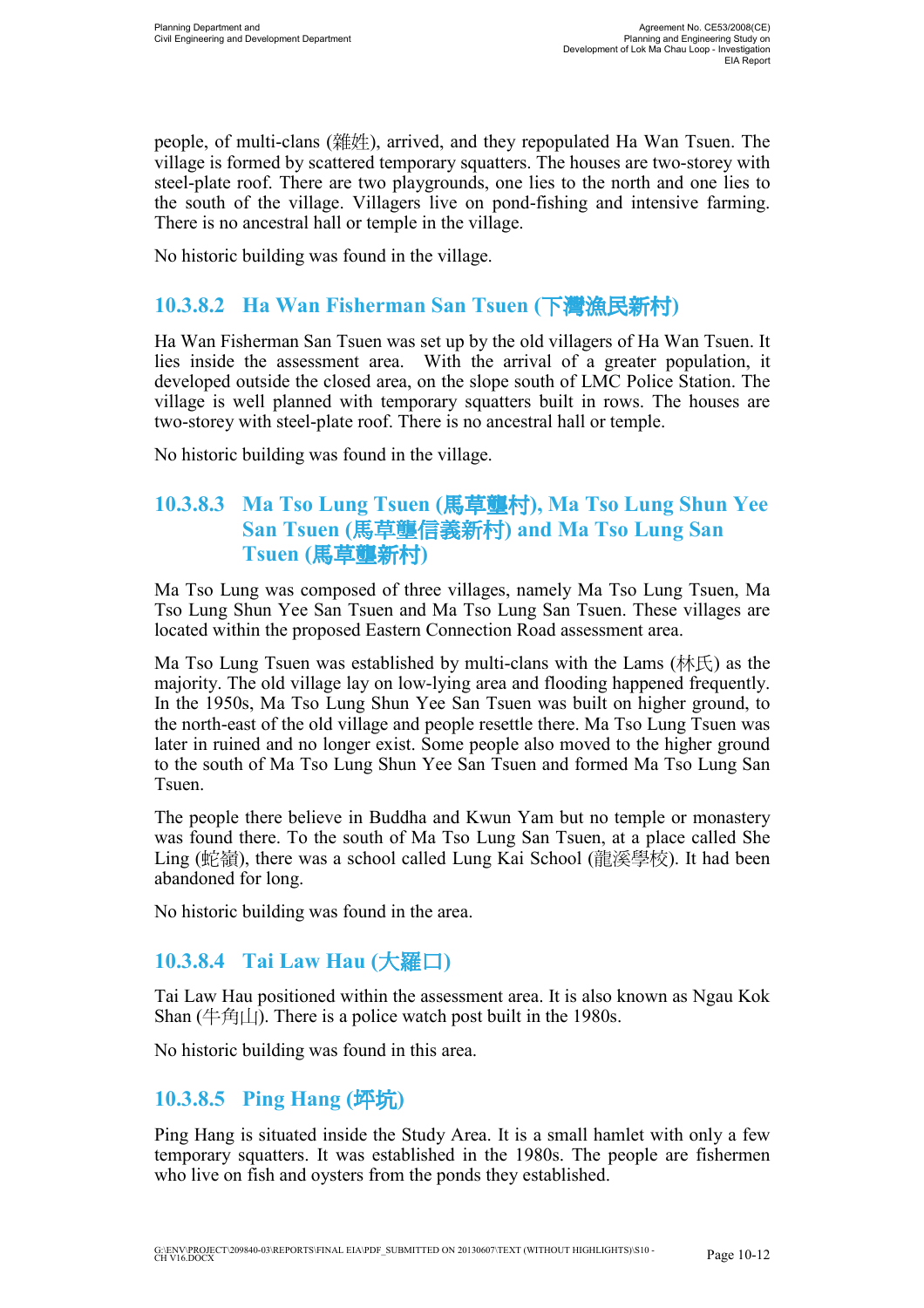people, of multi-clans (雜姓), arrived, and they repopulated Ha Wan Tsuen. The village is formed by scattered temporary squatters. The houses are two-storey with steel-plate roof. There are two playgrounds, one lies to the north and one lies to the south of the village. Villagers live on pond-fishing and intensive farming. There is no ancestral hall or temple in the village.

No historic building was found in the village.

### 10.3.8.2 Ha Wan Fisherman San Tsuen (下灣漁民新村)

Ha Wan Fisherman San Tsuen was set up by the old villagers of Ha Wan Tsuen. It lies inside the assessment area. With the arrival of a greater population, it developed outside the closed area, on the slope south of LMC Police Station. The village is well planned with temporary squatters built in rows. The houses are two-storey with steel-plate roof. There is no ancestral hall or temple.

No historic building was found in the village.

### 10.3.8.3 Ma Tso Lung Tsuen (馬草壟村), Ma Tso Lung Shun Yee San Tsuen (馬草壟信義新村) and Ma Tso Lung San Tsuen (馬草壟新村)

Ma Tso Lung was composed of three villages, namely Ma Tso Lung Tsuen, Ma Tso Lung Shun Yee San Tsuen and Ma Tso Lung San Tsuen. These villages are located within the proposed Eastern Connection Road assessment area.

Ma Tso Lung Tsuen was established by multi-clans with the Lams (林氏) as the majority. The old village lay on low-lying area and flooding happened frequently. In the 1950s, Ma Tso Lung Shun Yee San Tsuen was built on higher ground, to the north-east of the old village and people resettle there. Ma Tso Lung Tsuen was later in ruined and no longer exist. Some people also moved to the higher ground to the south of Ma Tso Lung Shun Yee San Tsuen and formed Ma Tso Lung San Tsuen.

The people there believe in Buddha and Kwun Yam but no temple or monastery was found there. To the south of Ma Tso Lung San Tsuen, at a place called She Ling (蛇嶺), there was a school called Lung Kai School (龍溪學校). It had been abandoned for long.

No historic building was found in the area.

### 10.3.8.4 Tai Law Hau (大羅口)

Tai Law Hau positioned within the assessment area. It is also known as Ngau Kok Shan (牛角山). There is a police watch post built in the 1980s.

No historic building was found in this area.

### 10.3.8.5 Ping Hang (坪坑)

Ping Hang is situated inside the Study Area. It is a small hamlet with only a few temporary squatters. It was established in the 1980s. The people are fishermen who live on fish and oysters from the ponds they established.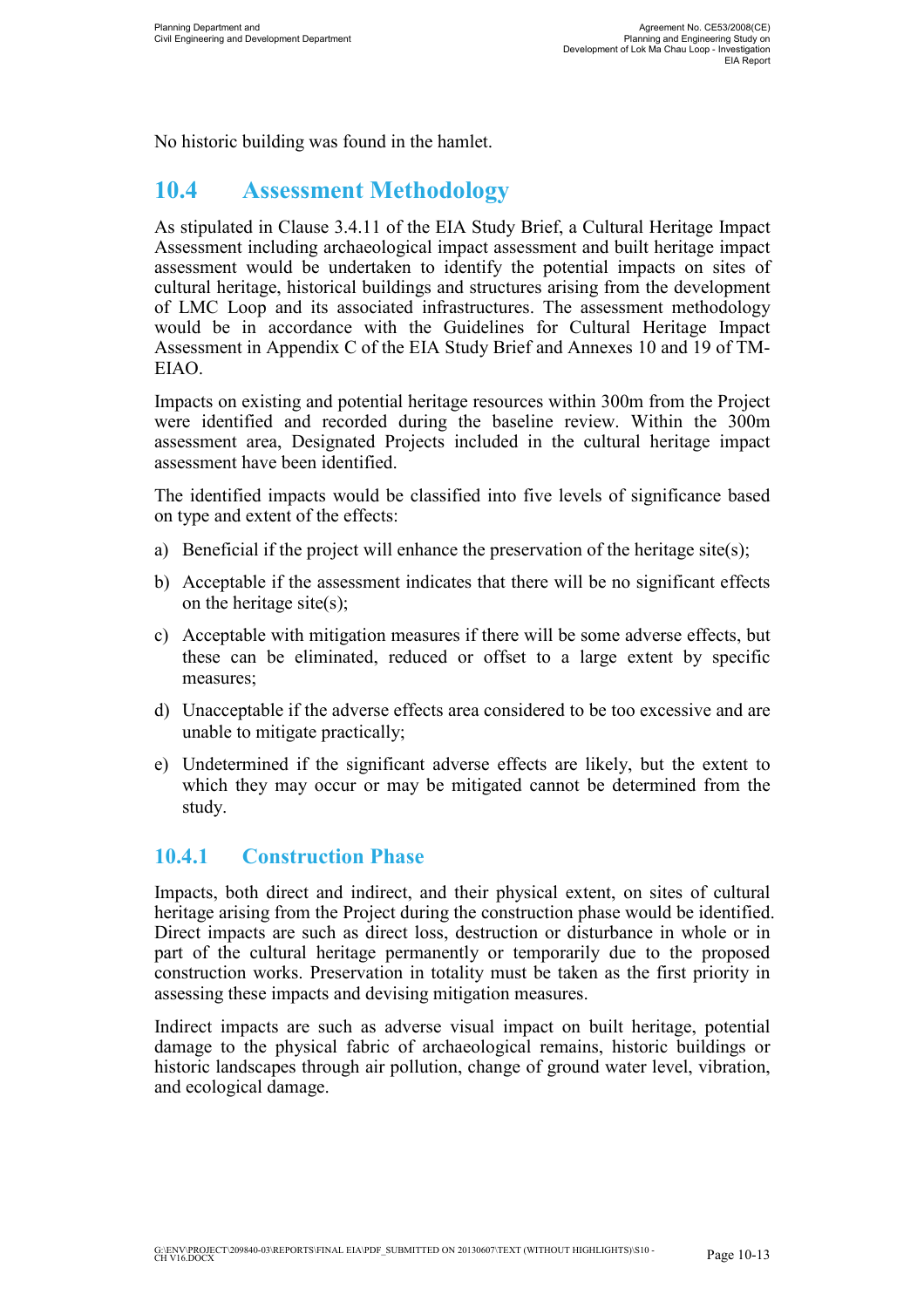No historic building was found in the hamlet.

## 10.4 Assessment Methodology

As stipulated in Clause 3.4.11 of the EIA Study Brief, a Cultural Heritage Impact Assessment including archaeological impact assessment and built heritage impact assessment would be undertaken to identify the potential impacts on sites of cultural heritage, historical buildings and structures arising from the development of LMC Loop and its associated infrastructures. The assessment methodology would be in accordance with the Guidelines for Cultural Heritage Impact Assessment in Appendix C of the EIA Study Brief and Annexes 10 and 19 of TM-EIAO.

Impacts on existing and potential heritage resources within 300m from the Project were identified and recorded during the baseline review. Within the 300m assessment area, Designated Projects included in the cultural heritage impact assessment have been identified.

The identified impacts would be classified into five levels of significance based on type and extent of the effects:

- a) Beneficial if the project will enhance the preservation of the heritage site(s);
- b) Acceptable if the assessment indicates that there will be no significant effects on the heritage site $(s)$ ;
- c) Acceptable with mitigation measures if there will be some adverse effects, but these can be eliminated, reduced or offset to a large extent by specific measures;
- d) Unacceptable if the adverse effects area considered to be too excessive and are unable to mitigate practically;
- e) Undetermined if the significant adverse effects are likely, but the extent to which they may occur or may be mitigated cannot be determined from the study.

#### 10.4.1 Construction Phase

Impacts, both direct and indirect, and their physical extent, on sites of cultural heritage arising from the Project during the construction phase would be identified. Direct impacts are such as direct loss, destruction or disturbance in whole or in part of the cultural heritage permanently or temporarily due to the proposed construction works. Preservation in totality must be taken as the first priority in assessing these impacts and devising mitigation measures.

Indirect impacts are such as adverse visual impact on built heritage, potential damage to the physical fabric of archaeological remains, historic buildings or historic landscapes through air pollution, change of ground water level, vibration, and ecological damage.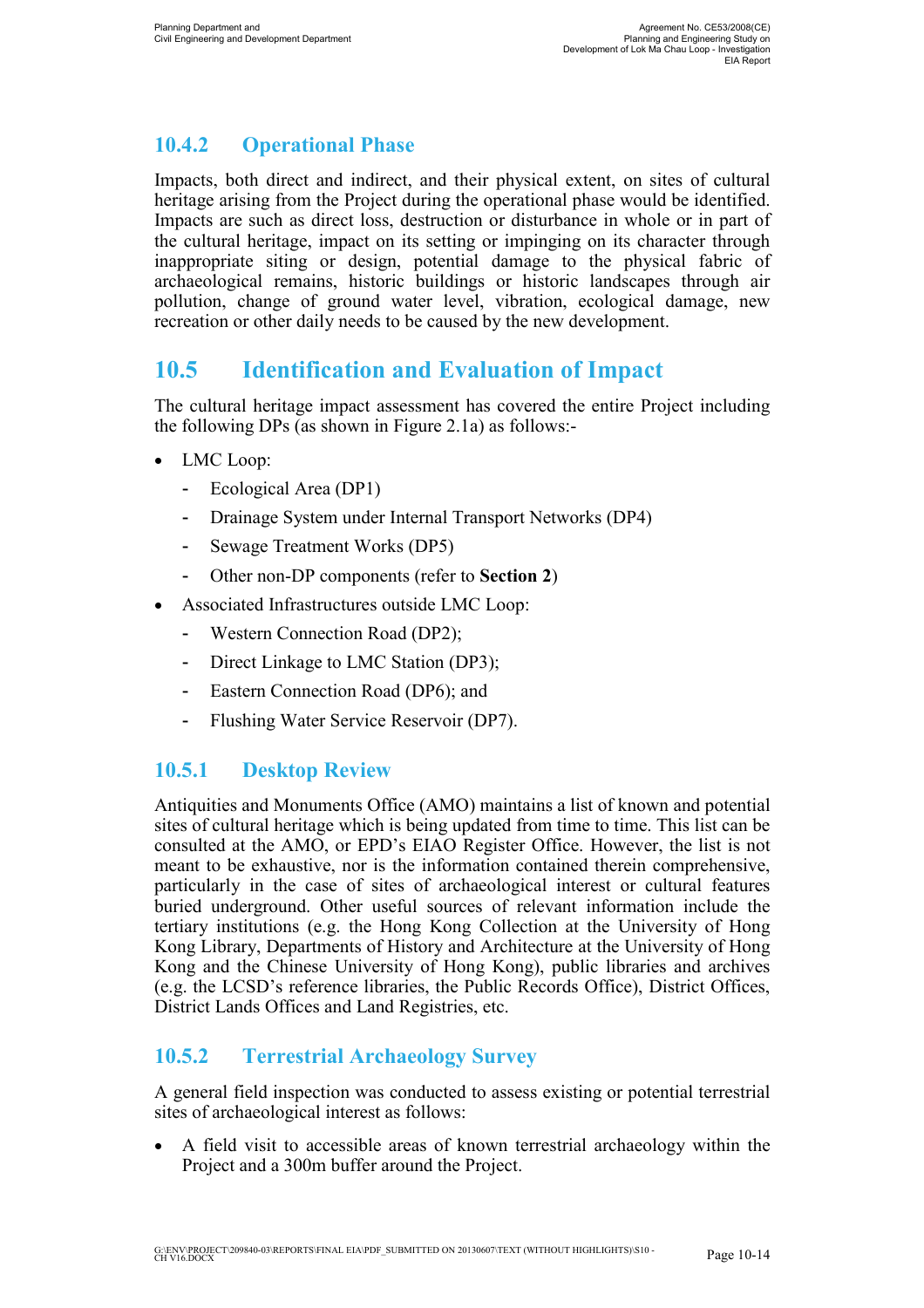### 10.4.2 Operational Phase

Impacts, both direct and indirect, and their physical extent, on sites of cultural heritage arising from the Project during the operational phase would be identified. Impacts are such as direct loss, destruction or disturbance in whole or in part of the cultural heritage, impact on its setting or impinging on its character through inappropriate siting or design, potential damage to the physical fabric of archaeological remains, historic buildings or historic landscapes through air pollution, change of ground water level, vibration, ecological damage, new recreation or other daily needs to be caused by the new development.

## 10.5 Identification and Evaluation of Impact

The cultural heritage impact assessment has covered the entire Project including the following DPs (as shown in Figure 2.1a) as follows:-

- LMC Loop:
	- Ecological Area (DP1)
	- Drainage System under Internal Transport Networks (DP4)
	- Sewage Treatment Works (DP5)
	- Other non-DP components (refer to Section 2)
- Associated Infrastructures outside LMC Loop:
	- Western Connection Road (DP2);
	- Direct Linkage to LMC Station (DP3);
	- Eastern Connection Road (DP6); and
	- Flushing Water Service Reservoir (DP7).

### 10.5.1 Desktop Review

Antiquities and Monuments Office (AMO) maintains a list of known and potential sites of cultural heritage which is being updated from time to time. This list can be consulted at the AMO, or EPD's EIAO Register Office. However, the list is not meant to be exhaustive, nor is the information contained therein comprehensive, particularly in the case of sites of archaeological interest or cultural features buried underground. Other useful sources of relevant information include the tertiary institutions (e.g. the Hong Kong Collection at the University of Hong Kong Library, Departments of History and Architecture at the University of Hong Kong and the Chinese University of Hong Kong), public libraries and archives (e.g. the LCSD's reference libraries, the Public Records Office), District Offices, District Lands Offices and Land Registries, etc.

### 10.5.2 Terrestrial Archaeology Survey

A general field inspection was conducted to assess existing or potential terrestrial sites of archaeological interest as follows:

• A field visit to accessible areas of known terrestrial archaeology within the Project and a 300m buffer around the Project.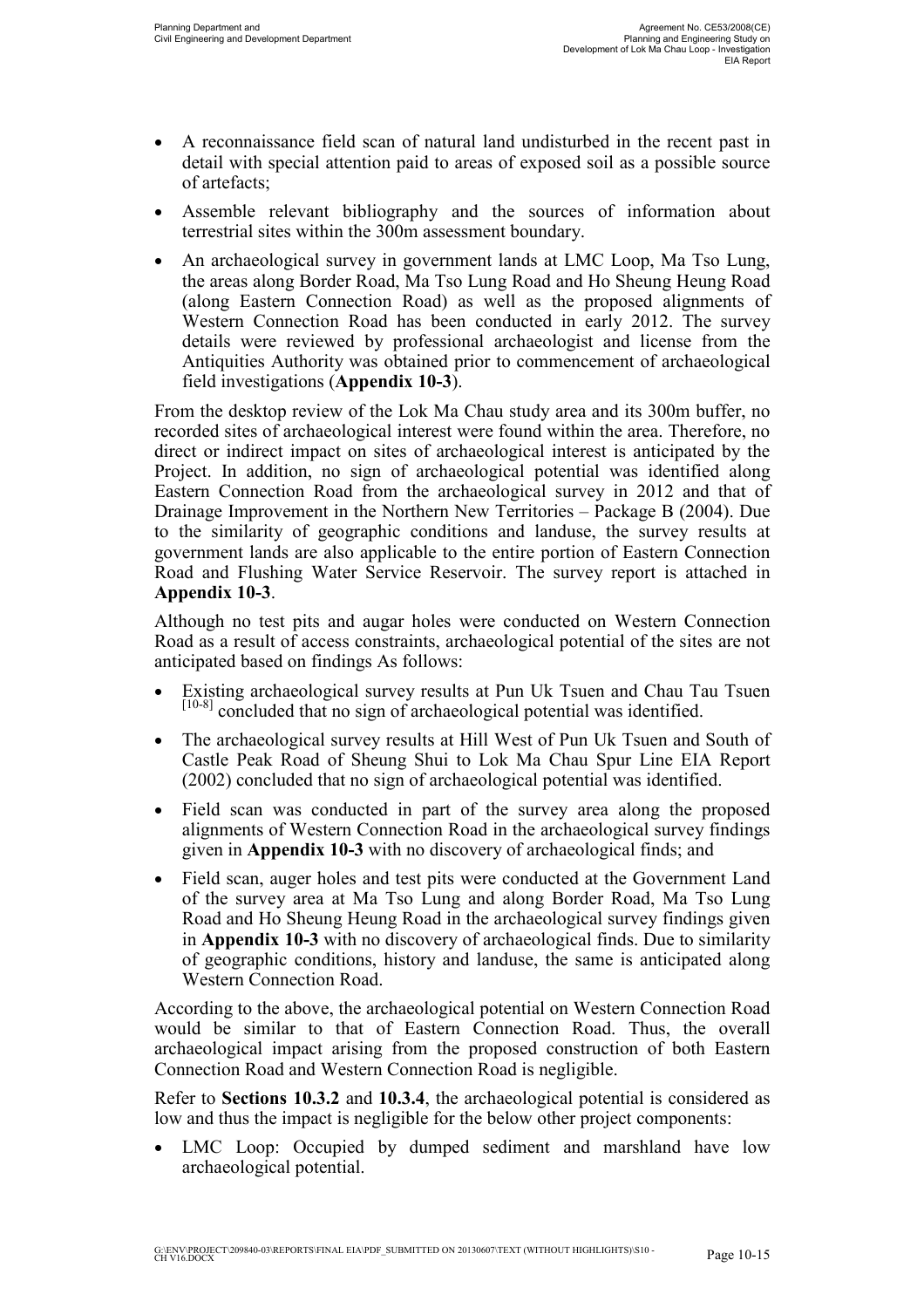- A reconnaissance field scan of natural land undisturbed in the recent past in detail with special attention paid to areas of exposed soil as a possible source of artefacts;
- Assemble relevant bibliography and the sources of information about terrestrial sites within the 300m assessment boundary.
- An archaeological survey in government lands at LMC Loop, Ma Tso Lung, the areas along Border Road, Ma Tso Lung Road and Ho Sheung Heung Road (along Eastern Connection Road) as well as the proposed alignments of Western Connection Road has been conducted in early 2012. The survey details were reviewed by professional archaeologist and license from the Antiquities Authority was obtained prior to commencement of archaeological field investigations (Appendix 10-3).

From the desktop review of the Lok Ma Chau study area and its 300m buffer, no recorded sites of archaeological interest were found within the area. Therefore, no direct or indirect impact on sites of archaeological interest is anticipated by the Project. In addition, no sign of archaeological potential was identified along Eastern Connection Road from the archaeological survey in 2012 and that of Drainage Improvement in the Northern New Territories – Package B (2004). Due to the similarity of geographic conditions and landuse, the survey results at government lands are also applicable to the entire portion of Eastern Connection Road and Flushing Water Service Reservoir. The survey report is attached in Appendix 10-3.

Although no test pits and augar holes were conducted on Western Connection Road as a result of access constraints, archaeological potential of the sites are not anticipated based on findings As follows:

- Existing archaeological survey results at Pun Uk Tsuen and Chau Tau Tsuen  $\frac{[10-8]}{[10-8]}$  concluded that no sign of archaeological potential was identified.
- The archaeological survey results at Hill West of Pun Uk Tsuen and South of Castle Peak Road of Sheung Shui to Lok Ma Chau Spur Line EIA Report (2002) concluded that no sign of archaeological potential was identified.
- Field scan was conducted in part of the survey area along the proposed alignments of Western Connection Road in the archaeological survey findings given in Appendix 10-3 with no discovery of archaeological finds; and
- Field scan, auger holes and test pits were conducted at the Government Land of the survey area at Ma Tso Lung and along Border Road, Ma Tso Lung Road and Ho Sheung Heung Road in the archaeological survey findings given in Appendix 10-3 with no discovery of archaeological finds. Due to similarity of geographic conditions, history and landuse, the same is anticipated along Western Connection Road.

According to the above, the archaeological potential on Western Connection Road would be similar to that of Eastern Connection Road. Thus, the overall archaeological impact arising from the proposed construction of both Eastern Connection Road and Western Connection Road is negligible.

Refer to Sections 10.3.2 and 10.3.4, the archaeological potential is considered as low and thus the impact is negligible for the below other project components:

LMC Loop: Occupied by dumped sediment and marshland have low archaeological potential.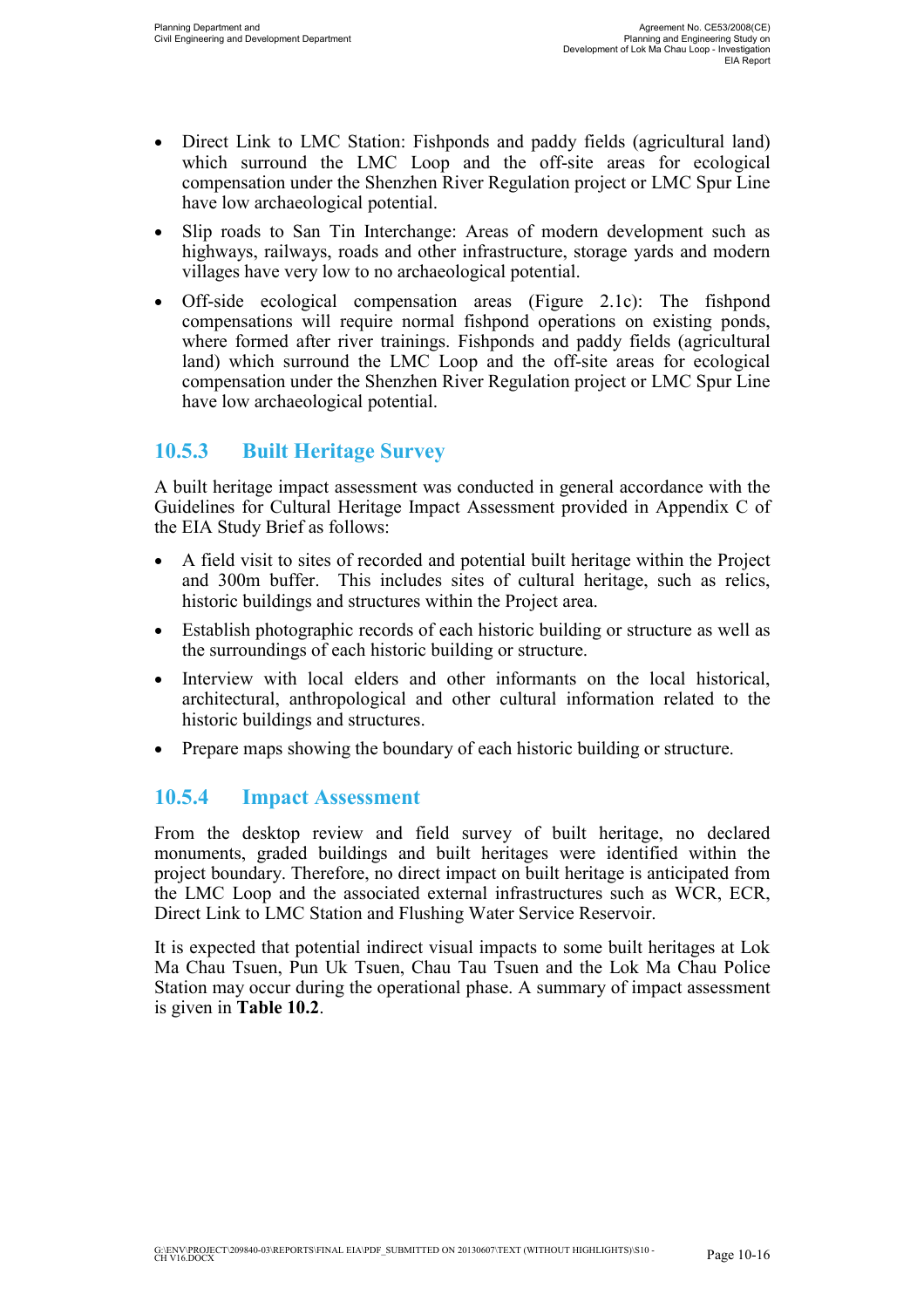- Direct Link to LMC Station: Fishponds and paddy fields (agricultural land) which surround the LMC Loop and the off-site areas for ecological compensation under the Shenzhen River Regulation project or LMC Spur Line have low archaeological potential.
- Slip roads to San Tin Interchange: Areas of modern development such as highways, railways, roads and other infrastructure, storage yards and modern villages have very low to no archaeological potential.
- Off-side ecological compensation areas (Figure 2.1c): The fishpond compensations will require normal fishpond operations on existing ponds, where formed after river trainings. Fishponds and paddy fields (agricultural land) which surround the LMC Loop and the off-site areas for ecological compensation under the Shenzhen River Regulation project or LMC Spur Line have low archaeological potential.

### 10.5.3 Built Heritage Survey

A built heritage impact assessment was conducted in general accordance with the Guidelines for Cultural Heritage Impact Assessment provided in Appendix C of the EIA Study Brief as follows:

- A field visit to sites of recorded and potential built heritage within the Project and 300m buffer. This includes sites of cultural heritage, such as relics, historic buildings and structures within the Project area.
- Establish photographic records of each historic building or structure as well as the surroundings of each historic building or structure.
- Interview with local elders and other informants on the local historical, architectural, anthropological and other cultural information related to the historic buildings and structures.
- Prepare maps showing the boundary of each historic building or structure.

### 10.5.4 Impact Assessment

From the desktop review and field survey of built heritage, no declared monuments, graded buildings and built heritages were identified within the project boundary. Therefore, no direct impact on built heritage is anticipated from the LMC Loop and the associated external infrastructures such as WCR, ECR, Direct Link to LMC Station and Flushing Water Service Reservoir.

It is expected that potential indirect visual impacts to some built heritages at Lok Ma Chau Tsuen, Pun Uk Tsuen, Chau Tau Tsuen and the Lok Ma Chau Police Station may occur during the operational phase. A summary of impact assessment is given in Table 10.2.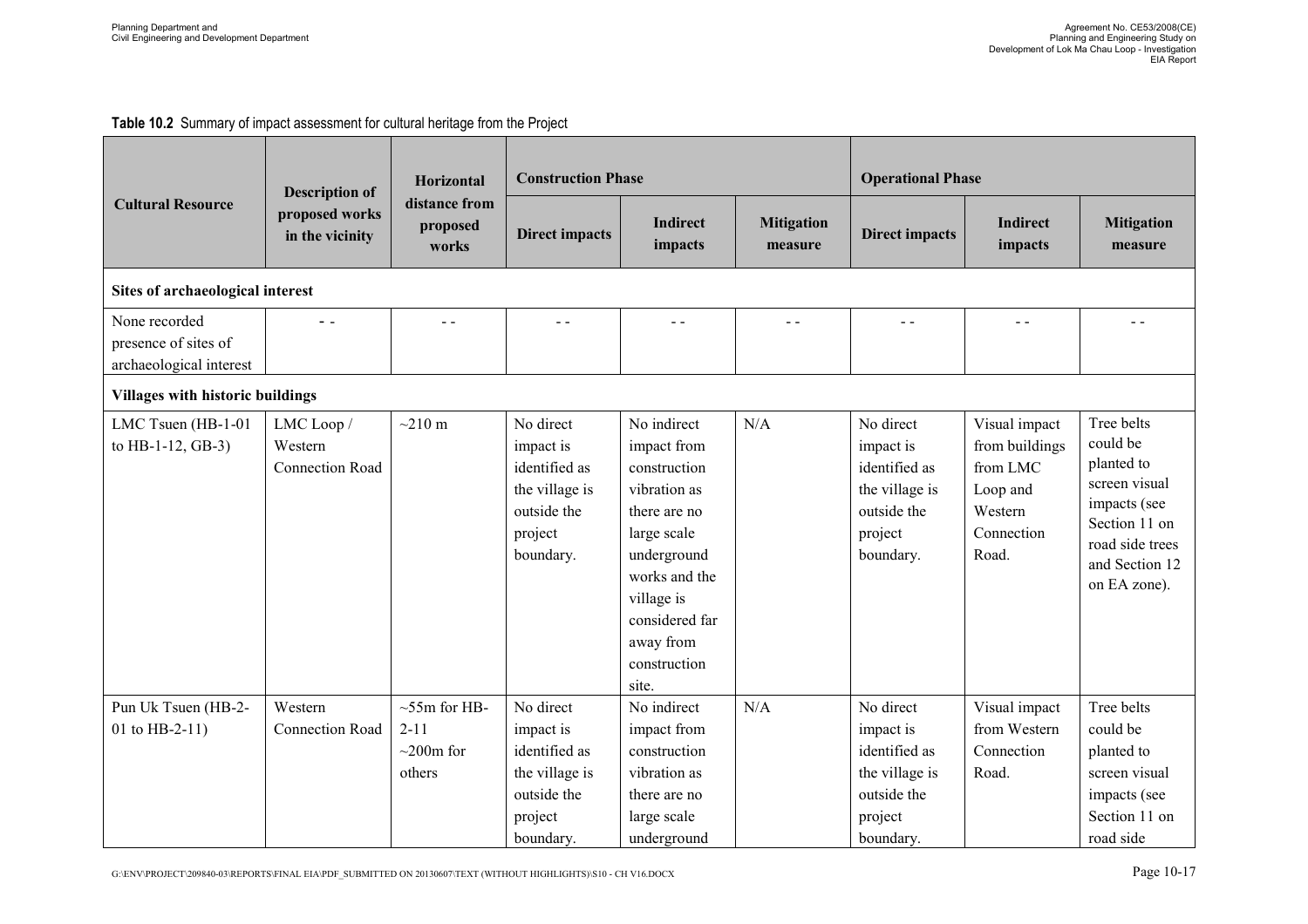#### Table 10.2 Summary of impact assessment for cultural heritage from the Project

|                                                                  | Horizontal<br><b>Description of</b>             | <b>Construction Phase</b>                               |                                                                                                  |                                                                                                                                                                                                 | <b>Operational Phase</b>     |                                                                                                  |                                                                                           |                                                                                                                                             |  |
|------------------------------------------------------------------|-------------------------------------------------|---------------------------------------------------------|--------------------------------------------------------------------------------------------------|-------------------------------------------------------------------------------------------------------------------------------------------------------------------------------------------------|------------------------------|--------------------------------------------------------------------------------------------------|-------------------------------------------------------------------------------------------|---------------------------------------------------------------------------------------------------------------------------------------------|--|
| <b>Cultural Resource</b>                                         | proposed works<br>in the vicinity               | distance from<br>proposed<br>works                      | <b>Direct impacts</b>                                                                            | <b>Indirect</b><br>impacts                                                                                                                                                                      | <b>Mitigation</b><br>measure | <b>Direct impacts</b>                                                                            | <b>Indirect</b><br>impacts                                                                | <b>Mitigation</b><br>measure                                                                                                                |  |
| Sites of archaeological interest                                 |                                                 |                                                         |                                                                                                  |                                                                                                                                                                                                 |                              |                                                                                                  |                                                                                           |                                                                                                                                             |  |
| None recorded<br>presence of sites of<br>archaeological interest | $\sim$ $\sim$                                   | $\sim$ $\sim$                                           | $ -$                                                                                             | $\sim$ $\sim$                                                                                                                                                                                   | $ -$                         | $=$ $=$                                                                                          | $\sim$ $\sim$                                                                             |                                                                                                                                             |  |
| <b>Villages with historic buildings</b>                          |                                                 |                                                         |                                                                                                  |                                                                                                                                                                                                 |                              |                                                                                                  |                                                                                           |                                                                                                                                             |  |
| LMC Tsuen (HB-1-01<br>to HB-1-12, GB-3)                          | LMC Loop /<br>Western<br><b>Connection Road</b> | $\sim$ 210 m                                            | No direct<br>impact is<br>identified as<br>the village is<br>outside the<br>project<br>boundary. | No indirect<br>impact from<br>construction<br>vibration as<br>there are no<br>large scale<br>underground<br>works and the<br>village is<br>considered far<br>away from<br>construction<br>site. | N/A                          | No direct<br>impact is<br>identified as<br>the village is<br>outside the<br>project<br>boundary. | Visual impact<br>from buildings<br>from LMC<br>Loop and<br>Western<br>Connection<br>Road. | Tree belts<br>could be<br>planted to<br>screen visual<br>impacts (see<br>Section 11 on<br>road side trees<br>and Section 12<br>on EA zone). |  |
| Pun Uk Tsuen (HB-2-<br>01 to HB-2-11)                            | Western<br><b>Connection Road</b>               | $~55m$ for HB-<br>$2 - 11$<br>$\sim$ 200m for<br>others | No direct<br>impact is<br>identified as<br>the village is<br>outside the<br>project<br>boundary. | No indirect<br>impact from<br>construction<br>vibration as<br>there are no<br>large scale<br>underground                                                                                        | N/A                          | No direct<br>impact is<br>identified as<br>the village is<br>outside the<br>project<br>boundary. | Visual impact<br>from Western<br>Connection<br>Road.                                      | Tree belts<br>could be<br>planted to<br>screen visual<br>impacts (see<br>Section 11 on<br>road side                                         |  |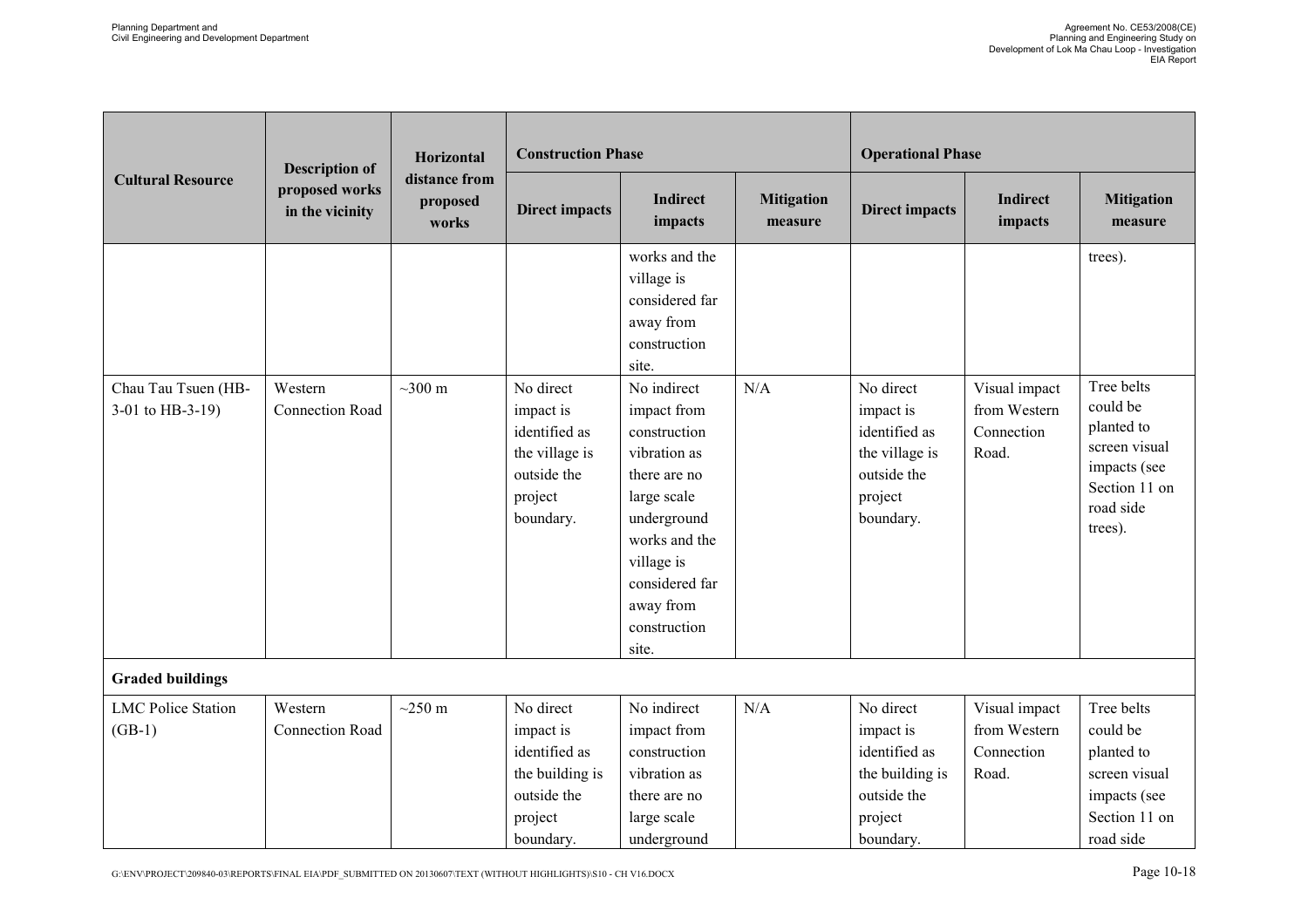|                                         | <b>Description of</b>             | Horizontal<br>distance from<br>proposed<br>works | <b>Construction Phase</b>                                                                         |                                                                                                                                                                                                 |                              | <b>Operational Phase</b>                                                                          |                                                      |                                                                                                                |
|-----------------------------------------|-----------------------------------|--------------------------------------------------|---------------------------------------------------------------------------------------------------|-------------------------------------------------------------------------------------------------------------------------------------------------------------------------------------------------|------------------------------|---------------------------------------------------------------------------------------------------|------------------------------------------------------|----------------------------------------------------------------------------------------------------------------|
| <b>Cultural Resource</b>                | proposed works<br>in the vicinity |                                                  | <b>Direct impacts</b>                                                                             | <b>Indirect</b><br>impacts                                                                                                                                                                      | <b>Mitigation</b><br>measure | <b>Direct impacts</b>                                                                             | <b>Indirect</b><br>impacts                           | <b>Mitigation</b><br>measure                                                                                   |
|                                         |                                   |                                                  |                                                                                                   | works and the<br>village is<br>considered far<br>away from<br>construction<br>site.                                                                                                             |                              |                                                                                                   |                                                      | trees).                                                                                                        |
| Chau Tau Tsuen (HB-<br>3-01 to HB-3-19) | Western<br>Connection Road        | $\sim$ 300 m                                     | No direct<br>impact is<br>identified as<br>the village is<br>outside the<br>project<br>boundary.  | No indirect<br>impact from<br>construction<br>vibration as<br>there are no<br>large scale<br>underground<br>works and the<br>village is<br>considered far<br>away from<br>construction<br>site. | N/A                          | No direct<br>impact is<br>identified as<br>the village is<br>outside the<br>project<br>boundary.  | Visual impact<br>from Western<br>Connection<br>Road. | Tree belts<br>could be<br>planted to<br>screen visual<br>impacts (see<br>Section 11 on<br>road side<br>trees). |
| <b>Graded buildings</b>                 |                                   |                                                  |                                                                                                   |                                                                                                                                                                                                 |                              |                                                                                                   |                                                      |                                                                                                                |
| <b>LMC Police Station</b><br>$(GB-1)$   | Western<br>Connection Road        | $\sim$ 250 m                                     | No direct<br>impact is<br>identified as<br>the building is<br>outside the<br>project<br>boundary. | No indirect<br>impact from<br>construction<br>vibration as<br>there are no<br>large scale<br>underground                                                                                        | N/A                          | No direct<br>impact is<br>identified as<br>the building is<br>outside the<br>project<br>boundary. | Visual impact<br>from Western<br>Connection<br>Road. | Tree belts<br>could be<br>planted to<br>screen visual<br>impacts (see<br>Section 11 on<br>road side            |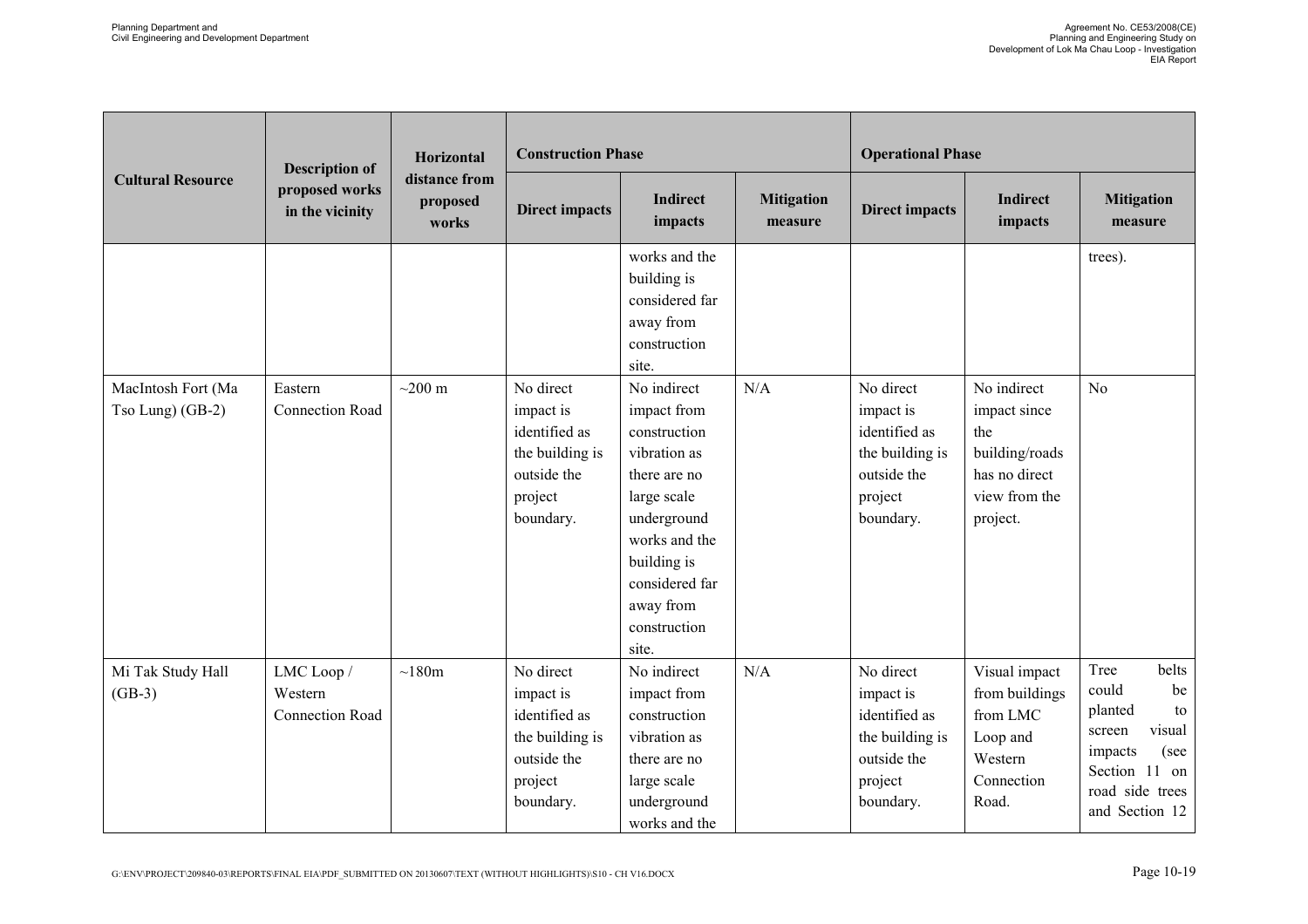|                                        | Horizontal                                                 | <b>Construction Phase</b>          |                                                                                                   |                                                                                                                                                                                                  | <b>Operational Phase</b>     |                                                                                                   |                                                                                                    |                                                                                                                                            |
|----------------------------------------|------------------------------------------------------------|------------------------------------|---------------------------------------------------------------------------------------------------|--------------------------------------------------------------------------------------------------------------------------------------------------------------------------------------------------|------------------------------|---------------------------------------------------------------------------------------------------|----------------------------------------------------------------------------------------------------|--------------------------------------------------------------------------------------------------------------------------------------------|
| <b>Cultural Resource</b>               | <b>Description of</b><br>proposed works<br>in the vicinity | distance from<br>proposed<br>works | <b>Direct impacts</b>                                                                             | <b>Indirect</b><br>impacts                                                                                                                                                                       | <b>Mitigation</b><br>measure | <b>Direct impacts</b>                                                                             | <b>Indirect</b><br>impacts                                                                         | <b>Mitigation</b><br>measure                                                                                                               |
|                                        |                                                            |                                    |                                                                                                   | works and the<br>building is<br>considered far<br>away from<br>construction<br>site.                                                                                                             |                              |                                                                                                   |                                                                                                    | trees).                                                                                                                                    |
| MacIntosh Fort (Ma<br>Tso Lung) (GB-2) | Eastern<br><b>Connection Road</b>                          | $\sim$ 200 m                       | No direct<br>impact is<br>identified as<br>the building is<br>outside the<br>project<br>boundary. | No indirect<br>impact from<br>construction<br>vibration as<br>there are no<br>large scale<br>underground<br>works and the<br>building is<br>considered far<br>away from<br>construction<br>site. | N/A                          | No direct<br>impact is<br>identified as<br>the building is<br>outside the<br>project<br>boundary. | No indirect<br>impact since<br>the<br>building/roads<br>has no direct<br>view from the<br>project. | No                                                                                                                                         |
| Mi Tak Study Hall<br>$(GB-3)$          | LMC Loop /<br>Western<br><b>Connection Road</b>            | ~180m                              | No direct<br>impact is<br>identified as<br>the building is<br>outside the<br>project<br>boundary. | No indirect<br>impact from<br>construction<br>vibration as<br>there are no<br>large scale<br>underground<br>works and the                                                                        | N/A                          | No direct<br>impact is<br>identified as<br>the building is<br>outside the<br>project<br>boundary. | Visual impact<br>from buildings<br>from LMC<br>Loop and<br>Western<br>Connection<br>Road.          | Tree<br>belts<br>could<br>be<br>planted<br>to<br>visual<br>screen<br>(see<br>impacts<br>Section 11 on<br>road side trees<br>and Section 12 |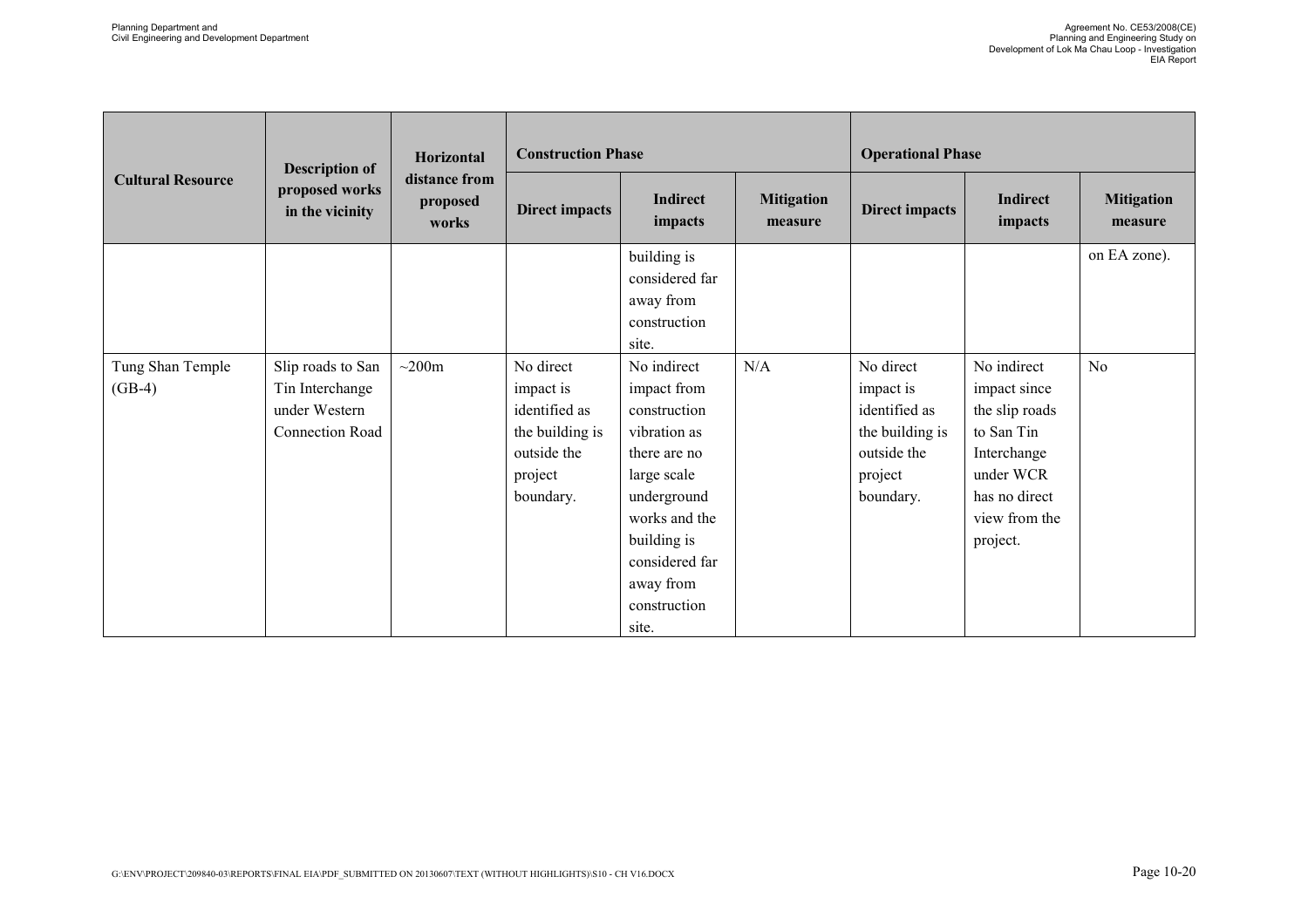|                              | <b>Description of</b><br>proposed works<br>in the vicinity               | Horizontal<br>distance from<br>proposed<br>works | <b>Construction Phase</b>                                                                         |                                                                                                                                                                                                  |                              | <b>Operational Phase</b>                                                                          |                                                                                                                                       |                              |
|------------------------------|--------------------------------------------------------------------------|--------------------------------------------------|---------------------------------------------------------------------------------------------------|--------------------------------------------------------------------------------------------------------------------------------------------------------------------------------------------------|------------------------------|---------------------------------------------------------------------------------------------------|---------------------------------------------------------------------------------------------------------------------------------------|------------------------------|
| <b>Cultural Resource</b>     |                                                                          |                                                  | <b>Direct impacts</b>                                                                             | <b>Indirect</b><br>impacts                                                                                                                                                                       | <b>Mitigation</b><br>measure | <b>Direct impacts</b>                                                                             | <b>Indirect</b><br>impacts                                                                                                            | <b>Mitigation</b><br>measure |
|                              |                                                                          |                                                  |                                                                                                   | building is<br>considered far<br>away from<br>construction<br>site.                                                                                                                              |                              |                                                                                                   |                                                                                                                                       | on EA zone).                 |
| Tung Shan Temple<br>$(GB-4)$ | Slip roads to San<br>Tin Interchange<br>under Western<br>Connection Road | $\sim$ 200m                                      | No direct<br>impact is<br>identified as<br>the building is<br>outside the<br>project<br>boundary. | No indirect<br>impact from<br>construction<br>vibration as<br>there are no<br>large scale<br>underground<br>works and the<br>building is<br>considered far<br>away from<br>construction<br>site. | N/A                          | No direct<br>impact is<br>identified as<br>the building is<br>outside the<br>project<br>boundary. | No indirect<br>impact since<br>the slip roads<br>to San Tin<br>Interchange<br>under WCR<br>has no direct<br>view from the<br>project. | No                           |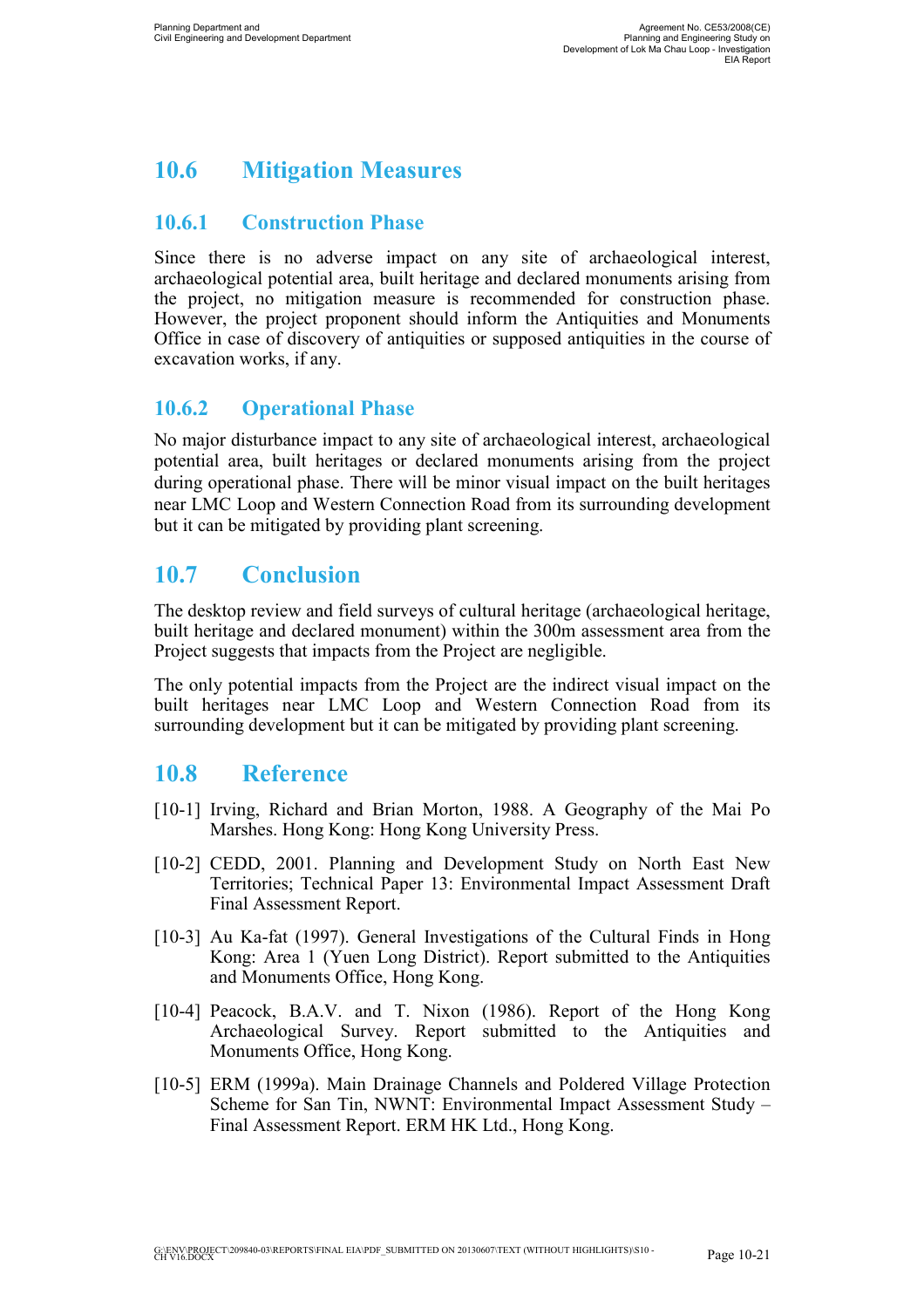## 10.6 Mitigation Measures

### 10.6.1 Construction Phase

Since there is no adverse impact on any site of archaeological interest, archaeological potential area, built heritage and declared monuments arising from the project, no mitigation measure is recommended for construction phase. However, the project proponent should inform the Antiquities and Monuments Office in case of discovery of antiquities or supposed antiquities in the course of excavation works, if any.

### 10.6.2 Operational Phase

No major disturbance impact to any site of archaeological interest, archaeological potential area, built heritages or declared monuments arising from the project during operational phase. There will be minor visual impact on the built heritages near LMC Loop and Western Connection Road from its surrounding development but it can be mitigated by providing plant screening.

## 10.7 Conclusion

The desktop review and field surveys of cultural heritage (archaeological heritage, built heritage and declared monument) within the 300m assessment area from the Project suggests that impacts from the Project are negligible.

The only potential impacts from the Project are the indirect visual impact on the built heritages near LMC Loop and Western Connection Road from its surrounding development but it can be mitigated by providing plant screening.

### 10.8 Reference

- [10-1] Irving, Richard and Brian Morton, 1988. A Geography of the Mai Po Marshes. Hong Kong: Hong Kong University Press.
- [10-2] CEDD, 2001. Planning and Development Study on North East New Territories; Technical Paper 13: Environmental Impact Assessment Draft Final Assessment Report.
- [10-3] Au Ka-fat (1997). General Investigations of the Cultural Finds in Hong Kong: Area 1 (Yuen Long District). Report submitted to the Antiquities and Monuments Office, Hong Kong.
- [10-4] Peacock, B.A.V. and T. Nixon (1986). Report of the Hong Kong Archaeological Survey. Report submitted to the Antiquities and Monuments Office, Hong Kong.
- [10-5] ERM (1999a). Main Drainage Channels and Poldered Village Protection Scheme for San Tin, NWNT: Environmental Impact Assessment Study – Final Assessment Report. ERM HK Ltd., Hong Kong.